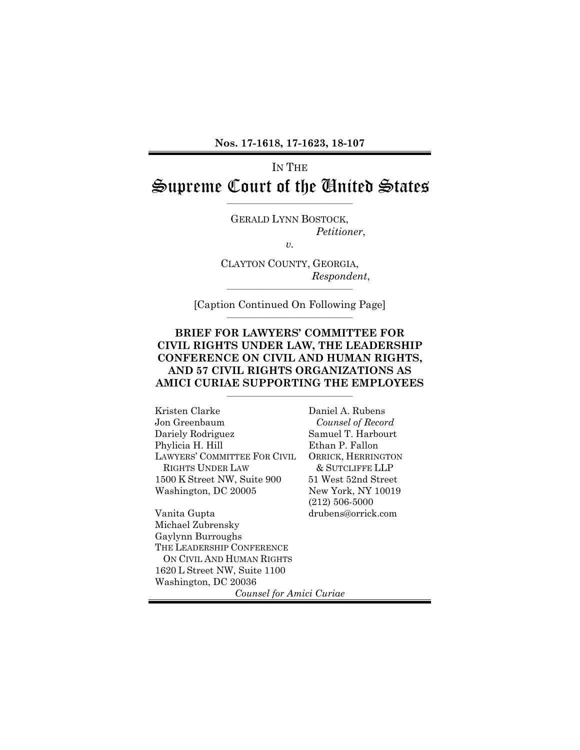# IN THE Supreme Court of the United States

\_\_\_\_\_\_\_\_\_\_\_\_\_\_\_\_\_\_\_\_\_\_\_\_\_\_\_\_\_\_\_\_\_\_\_\_\_\_

GERALD LYNN BOSTOCK, *Petitioner*,

*v.*

CLAYTON COUNTY, GEORGIA, *Respondent*,  $\_$ 

[Caption Continued On Following Page]  $\overline{\phantom{a}}$  , and the set of the set of the set of the set of the set of the set of the set of the set of the set of the set of the set of the set of the set of the set of the set of the set of the set of the set of the s

#### **BRIEF FOR LAWYERS' COMMITTEE FOR CIVIL RIGHTS UNDER LAW, THE LEADERSHIP CONFERENCE ON CIVIL AND HUMAN RIGHTS, AND 57 CIVIL RIGHTS ORGANIZATIONS AS AMICI CURIAE SUPPORTING THE EMPLOYEES**

 $\overline{\phantom{a}}$  , and the set of the set of the set of the set of the set of the set of the set of the set of the set of the set of the set of the set of the set of the set of the set of the set of the set of the set of the s

Kristen Clarke Jon Greenbaum Dariely Rodriguez Phylicia H. Hill LAWYERS' COMMITTEE FOR CIVIL RIGHTS UNDER LAW 1500 K Street NW, Suite 900 Washington, DC 20005

Daniel A. Rubens *Counsel of Record* Samuel T. Harbourt Ethan P. Fallon ORRICK, HERRINGTON & SUTCLIFFE LLP 51 West 52nd Street New York, NY 10019 (212) 506-5000 drubens@orrick.com

Vanita Gupta Michael Zubrensky Gaylynn Burroughs THE LEADERSHIP CONFERENCE ON CIVIL AND HUMAN RIGHTS 1620 L Street NW, Suite 1100 Washington, DC 20036

*Counsel for Amici Curiae*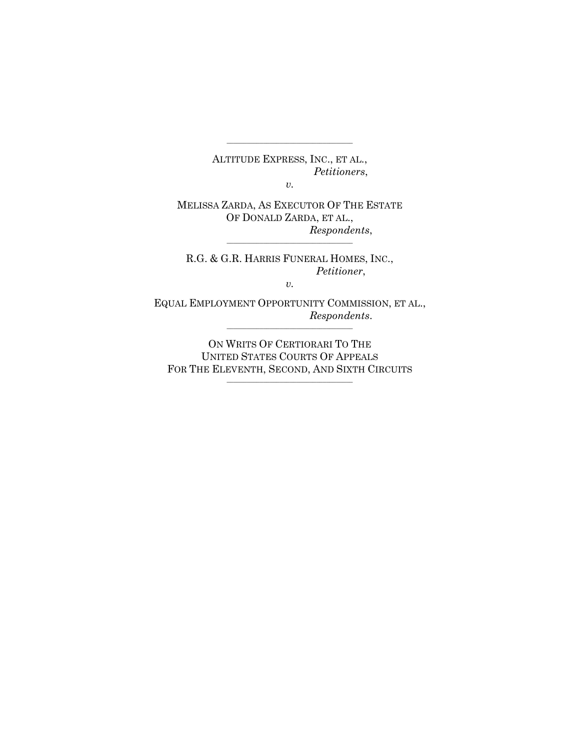ALTITUDE EXPRESS, INC., ET AL., *Petitioners*,

\_\_\_\_\_\_\_\_\_\_\_\_\_\_\_\_\_\_\_\_\_\_\_\_\_\_\_\_\_\_\_\_\_\_\_\_\_\_

*v.*

MELISSA ZARDA, AS EXECUTOR OF THE ESTATE OF DONALD ZARDA, ET AL., *Respondents*,

 $\_$ 

R.G. & G.R. HARRIS FUNERAL HOMES, INC., *Petitioner*,

*v.*

EQUAL EMPLOYMENT OPPORTUNITY COMMISSION, ET AL., *Respondents*.  $\_$ 

ON WRITS OF CERTIORARI TO THE UNITED STATES COURTS OF APPEALS FOR THE ELEVENTH, SECOND, AND SIXTH CIRCUITS

 $\_$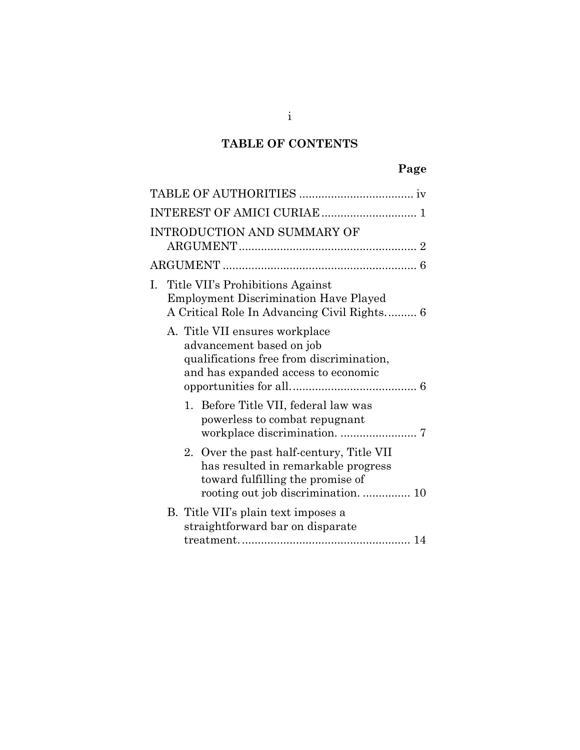## **TABLE OF CONTENTS**

## **Page**

| INTRODUCTION AND SUMMARY OF                                                                                                                   |  |
|-----------------------------------------------------------------------------------------------------------------------------------------------|--|
|                                                                                                                                               |  |
| I. Title VII's Prohibitions Against<br><b>Employment Discrimination Have Played</b><br>A Critical Role In Advancing Civil Rights 6            |  |
| A. Title VII ensures workplace<br>advancement based on job<br>qualifications free from discrimination,<br>and has expanded access to economic |  |
| 1. Before Title VII, federal law was<br>powerless to combat repugnant                                                                         |  |
| 2. Over the past half-century, Title VII<br>has resulted in remarkable progress<br>toward fulfilling the promise of                           |  |
| B. Title VII's plain text imposes a<br>straightforward bar on disparate                                                                       |  |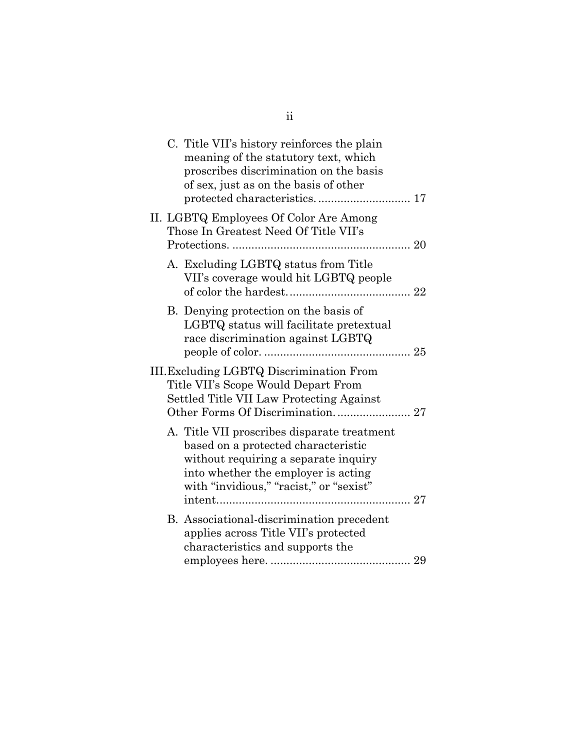|  | C. Title VII's history reinforces the plain<br>meaning of the statutory text, which<br>proscribes discrimination on the basis<br>of sex, just as on the basis of other                                       |  |
|--|--------------------------------------------------------------------------------------------------------------------------------------------------------------------------------------------------------------|--|
|  | II. LGBTQ Employees Of Color Are Among<br>Those In Greatest Need Of Title VII's                                                                                                                              |  |
|  | A. Excluding LGBTQ status from Title<br>VII's coverage would hit LGBTQ people                                                                                                                                |  |
|  | B. Denying protection on the basis of<br>LGBTQ status will facilitate pretextual<br>race discrimination against LGBTQ                                                                                        |  |
|  | III. Excluding LGBTQ Discrimination From<br>Title VII's Scope Would Depart From<br>Settled Title VII Law Protecting Against                                                                                  |  |
|  | A. Title VII proscribes disparate treatment<br>based on a protected characteristic<br>without requiring a separate inquiry<br>into whether the employer is acting<br>with "invidious," "racist," or "sexist" |  |
|  | B. Associational-discrimination precedent<br>applies across Title VII's protected<br>characteristics and supports the                                                                                        |  |

ii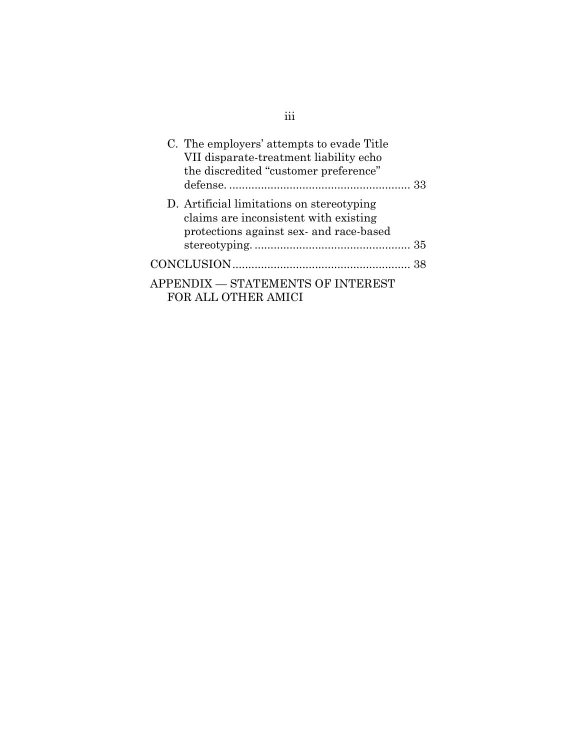| C. The employers' attempts to evade Title<br>VII disparate-treatment liability echo<br>the discredited "customer preference"  | -33 |
|-------------------------------------------------------------------------------------------------------------------------------|-----|
| D. Artificial limitations on stereotyping<br>claims are inconsistent with existing<br>protections against sex- and race-based |     |
|                                                                                                                               |     |
|                                                                                                                               |     |
| APPENDIX — STATEMENTS OF INTEREST<br>FOR ALL OTHER AMICI                                                                      |     |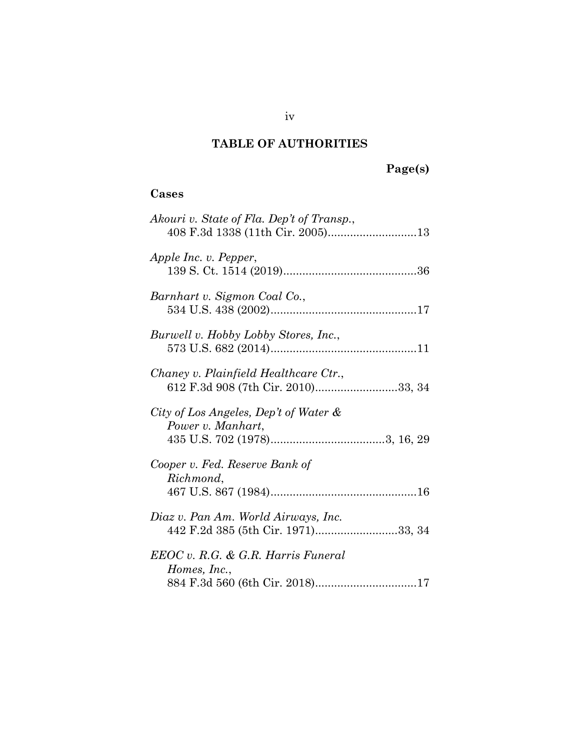## **TABLE OF AUTHORITIES**

# **Page(s)**

## <span id="page-5-0"></span>**Cases**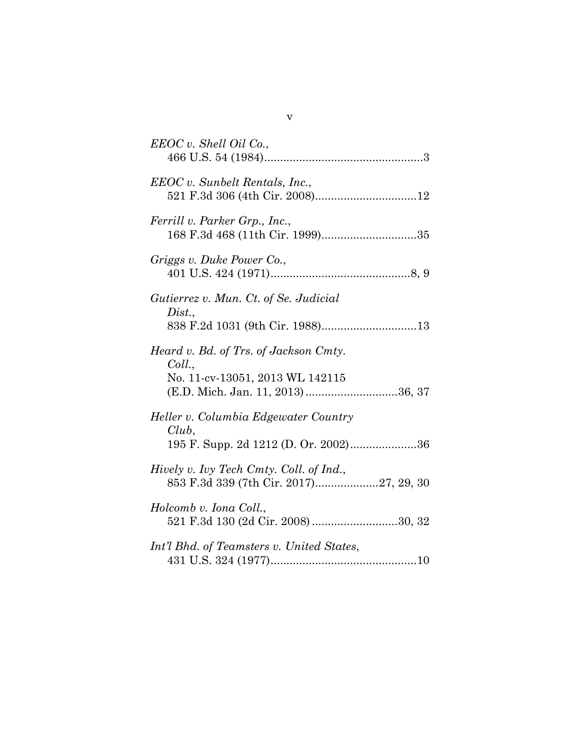| EEOC v. Shell Oil Co.,                                                                                                  |
|-------------------------------------------------------------------------------------------------------------------------|
| EEOC v. Sunbelt Rentals, Inc.,                                                                                          |
| Ferrill v. Parker Grp., Inc.,                                                                                           |
| Griggs v. Duke Power Co.,                                                                                               |
| Gutierrez v. Mun. Ct. of Se. Judicial<br>Dist.,                                                                         |
| Heard v. Bd. of Trs. of Jackson Cmty.<br>Coll.,<br>No. 11-cv-13051, 2013 WL 142115<br>(E.D. Mich. Jan. 11, 2013) 36, 37 |
| Heller v. Columbia Edgewater Country<br>$Club$ ,<br>195 F. Supp. 2d 1212 (D. Or. 2002)36                                |
| Hively v. Ivy Tech Cmty. Coll. of Ind.,<br>853 F.3d 339 (7th Cir. 2017)27, 29, 30                                       |
| Holcomb v. Iona Coll.,<br>521 F.3d 130 (2d Cir. 2008) 30, 32                                                            |
| Int'l Bhd. of Teamsters v. United States,                                                                               |

v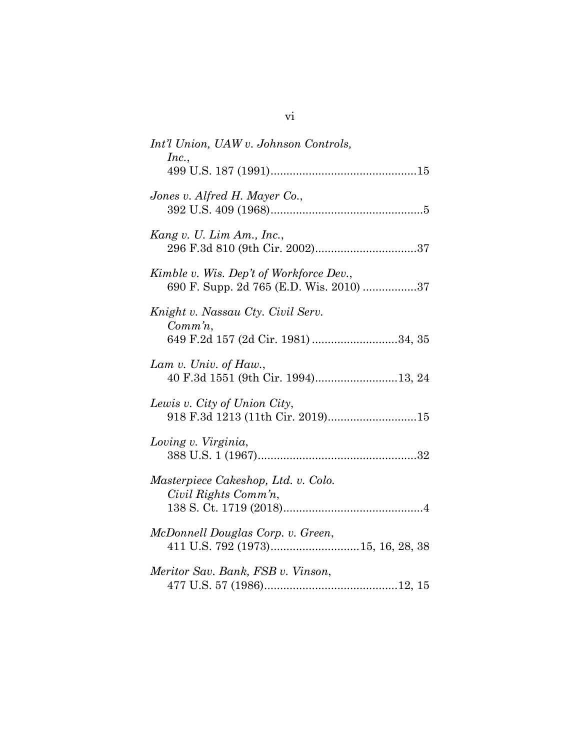| Int'l Union, UAW v. Johnson Controls,<br>Inc.,                                          |
|-----------------------------------------------------------------------------------------|
|                                                                                         |
| Jones v. Alfred H. Mayer Co.,                                                           |
| Kang v. U. Lim Am., Inc.,                                                               |
| Kimble v. Wis. Dep't of Workforce Dev.,<br>690 F. Supp. 2d 765 (E.D. Wis. 2010) 37      |
| Knight v. Nassau Cty. Civil Serv.<br>$Comm\, n$ ,<br>649 F.2d 157 (2d Cir. 1981) 34, 35 |
| Lam v. Univ. of Haw.,<br>40 F.3d 1551 (9th Cir. 1994)13, 24                             |
| Lewis v. City of Union City,<br>918 F.3d 1213 (11th Cir. 2019)15                        |
| Loving v. Virginia,                                                                     |
| Masterpiece Cakeshop, Ltd. v. Colo.<br>Civil Rights Comm'n,                             |
| McDonnell Douglas Corp. v. Green,                                                       |
| Meritor Sav. Bank, FSB v. Vinson,                                                       |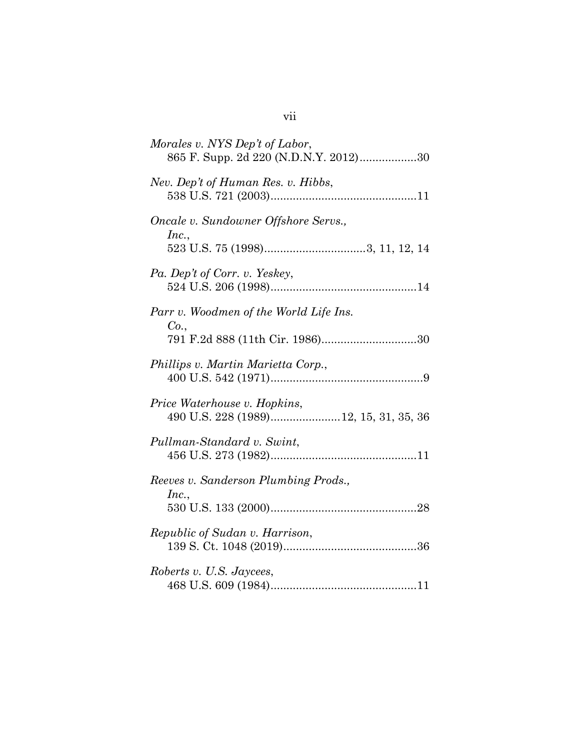| Morales v. NYS Dep't of Labor,<br>865 F. Supp. 2d 220 (N.D.N.Y. 2012)30           |
|-----------------------------------------------------------------------------------|
| Nev. Dep't of Human Res. v. Hibbs,                                                |
| Oncale v. Sundowner Offshore Servs.,<br>Inc.,                                     |
| Pa. Dep't of Corr. v. Yeskey,                                                     |
| Parr v. Woodmen of the World Life Ins.<br>Co.,<br>791 F.2d 888 (11th Cir. 1986)30 |
| Phillips v. Martin Marietta Corp.,                                                |
| Price Waterhouse v. Hopkins,<br>490 U.S. 228 (1989)12, 15, 31, 35, 36             |
| Pullman-Standard v. Swint,                                                        |
| Reeves v. Sanderson Plumbing Prods.,<br>Inc.,                                     |
| Republic of Sudan v. Harrison,                                                    |
| Roberts v. U.S. Jaycees,                                                          |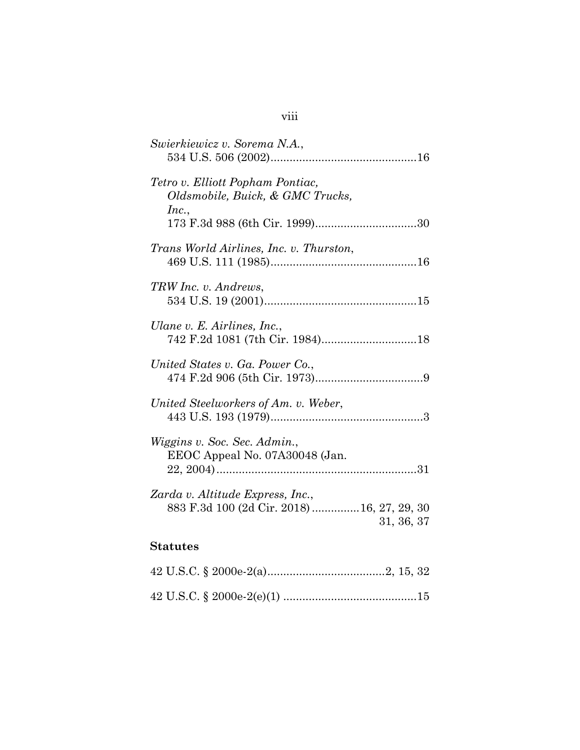| Swierkiewicz v. Sorema N.A.,                                                                  |
|-----------------------------------------------------------------------------------------------|
| Tetro v. Elliott Popham Pontiac,<br>Oldsmobile, Buick, & GMC Trucks,<br>Inc.,                 |
| Trans World Airlines, Inc. v. Thurston,                                                       |
| TRW Inc. v. Andrews,                                                                          |
| Ulane v. E. Airlines, Inc.,                                                                   |
| United States v. Ga. Power Co.,                                                               |
| United Steelworkers of Am. v. Weber,                                                          |
| <i>Wiggins v. Soc. Sec. Admin.,</i><br>EEOC Appeal No. 07A30048 (Jan.                         |
| Zarda v. Altitude Express, Inc.,<br>883 F.3d 100 (2d Cir. 2018)  16, 27, 29, 30<br>31, 36, 37 |
| <b>Statutes</b>                                                                               |
|                                                                                               |
|                                                                                               |

## viii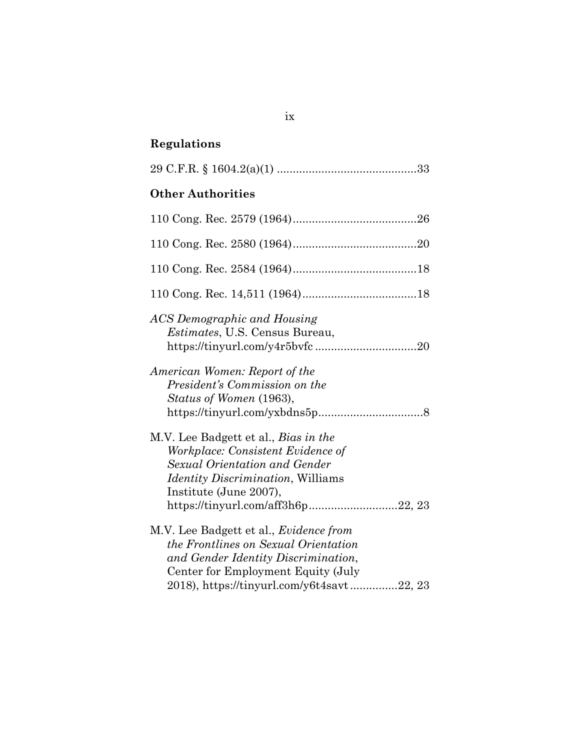## **Regulations**

| <b>Other Authorities</b> |  |
|--------------------------|--|

| ACS Demographic and Housing<br><i>Estimates</i> , U.S. Census Bureau,                                                                                                                                                         |
|-------------------------------------------------------------------------------------------------------------------------------------------------------------------------------------------------------------------------------|
| American Women: Report of the<br>President's Commission on the<br>Status of Women (1963),                                                                                                                                     |
| M.V. Lee Badgett et al., <i>Bias in the</i><br>Workplace: Consistent Evidence of<br>Sexual Orientation and Gender<br><i>Identity Discrimination</i> , Williams<br>Institute (June 2007),<br>https://tinyurl.com/aff3h6p22, 23 |
| M.V. Lee Badgett et al., <i>Evidence from</i><br>the Frontlines on Sexual Orientation<br>and Gender Identity Discrimination,<br>Center for Employment Equity (July<br>2018), https://tinyurl.com/y6t4savt22, 23               |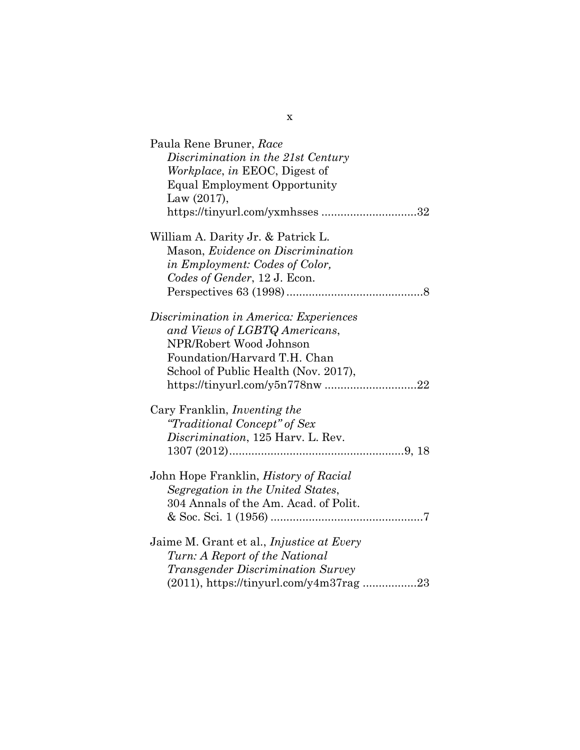| Paula Rene Bruner, Race<br>Discrimination in the 21st Century<br>Workplace, in EEOC, Digest of<br><b>Equal Employment Opportunity</b><br>Law (2017),<br>https://tinyurl.com/yxmhsses32 |
|----------------------------------------------------------------------------------------------------------------------------------------------------------------------------------------|
| William A. Darity Jr. & Patrick L.<br>Mason, Evidence on Discrimination<br>in Employment: Codes of Color,<br>Codes of Gender, 12 J. Econ.                                              |
| Discrimination in America: Experiences<br>and Views of LGBTQ Americans,<br>NPR/Robert Wood Johnson<br>Foundation/Harvard T.H. Chan<br>School of Public Health (Nov. 2017),             |
| Cary Franklin, <i>Inventing the</i><br>"Traditional Concept" of Sex<br>Discrimination, 125 Harv. L. Rev.                                                                               |
| John Hope Franklin, <i>History of Racial</i><br>Segregation in the United States,<br>304 Annals of the Am. Acad. of Polit.                                                             |
| Jaime M. Grant et al., Injustice at Every<br>Turn: A Report of the National<br><i>Transgender Discrimination Survey</i><br>(2011), https://tinyurl.com/y4m37rag23                      |

x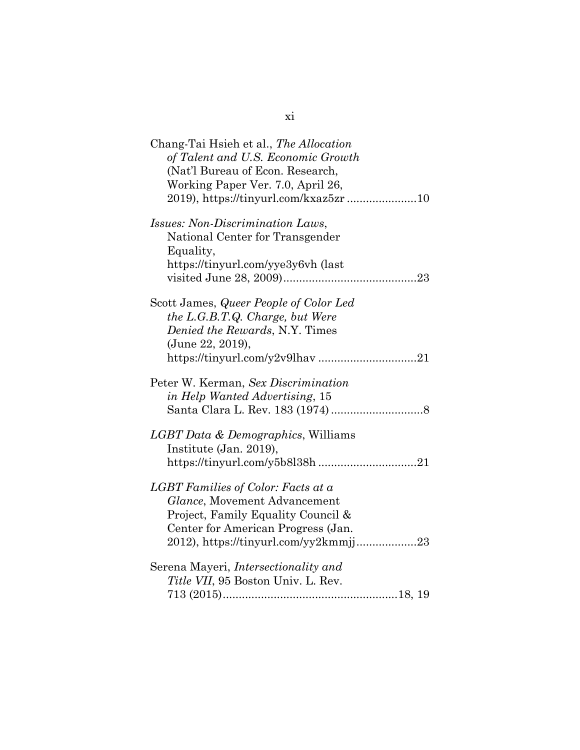| Chang-Tai Hsieh et al., The Allocation<br>of Talent and U.S. Economic Growth<br>(Nat'l Bureau of Econ. Research,<br>Working Paper Ver. 7.0, April 26,<br>2019), https://tinyurl.com/kxaz5zr 10 |
|------------------------------------------------------------------------------------------------------------------------------------------------------------------------------------------------|
| <i>Issues: Non-Discrimination Laws,</i><br>National Center for Transgender<br>Equality,<br>https://tinyurl.com/yye3y6vh (last                                                                  |
| Scott James, Queer People of Color Led<br>the L.G.B.T.Q. Charge, but Were<br>Denied the Rewards, N.Y. Times<br>(June 22, 2019),<br>https://tinyurl.com/y2v9lhav21                              |
| Peter W. Kerman, Sex Discrimination<br>in Help Wanted Advertising, 15                                                                                                                          |
| LGBT Data & Demographics, Williams<br>Institute (Jan. 2019),<br>https://tinyurl.com/y5b8l38h 21                                                                                                |
| LGBT Families of Color: Facts at a<br>Glance, Movement Advancement<br>Project, Family Equality Council &<br>Center for American Progress (Jan.<br>2012), https://tinyurl.com/yy2kmmjj23        |
| Serena Mayeri, <i>Intersectionality and</i><br>Title VII, 95 Boston Univ. L. Rev.                                                                                                              |

| I       |  |
|---------|--|
| ۰,<br>I |  |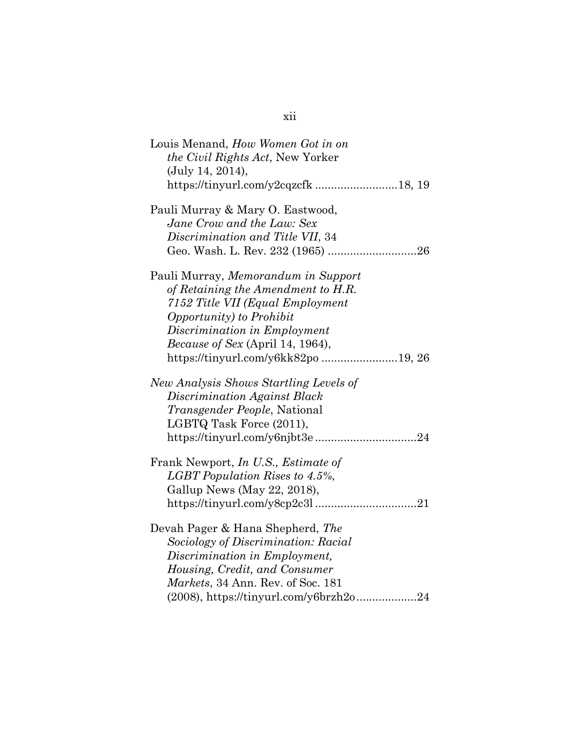| Louis Menand, How Women Got in on<br>the Civil Rights Act, New Yorker<br>(July 14, 2014), |
|-------------------------------------------------------------------------------------------|
|                                                                                           |
| Pauli Murray & Mary O. Eastwood,                                                          |
| Jane Crow and the Law: Sex                                                                |
| Discrimination and Title VII, 34                                                          |
|                                                                                           |
| Pauli Murray, Memorandum in Support                                                       |
| of Retaining the Amendment to H.R.                                                        |
| 7152 Title VII (Equal Employment                                                          |
| Opportunity) to Prohibit                                                                  |
| Discrimination in Employment                                                              |
| <i>Because of Sex</i> (April 14, 1964),                                                   |
| https://tinyurl.com/y6kk82po19, 26                                                        |
| New Analysis Shows Startling Levels of                                                    |
| Discrimination Against Black                                                              |
| Transgender People, National                                                              |
| LGBTQ Task Force (2011),                                                                  |
|                                                                                           |
| Frank Newport, <i>In U.S.</i> , <i>Estimate of</i>                                        |
| LGBT Population Rises to 4.5%,                                                            |
| Gallup News (May 22, 2018),                                                               |
|                                                                                           |
| Devah Pager & Hana Shepherd, The                                                          |
| Sociology of Discrimination: Racial                                                       |
| Discrimination in Employment,                                                             |
| Housing, Credit, and Consumer                                                             |
| Markets, 34 Ann. Rev. of Soc. 181                                                         |
| $(2008)$ , https://tinyurl.com/y6brzh2o24                                                 |

### xii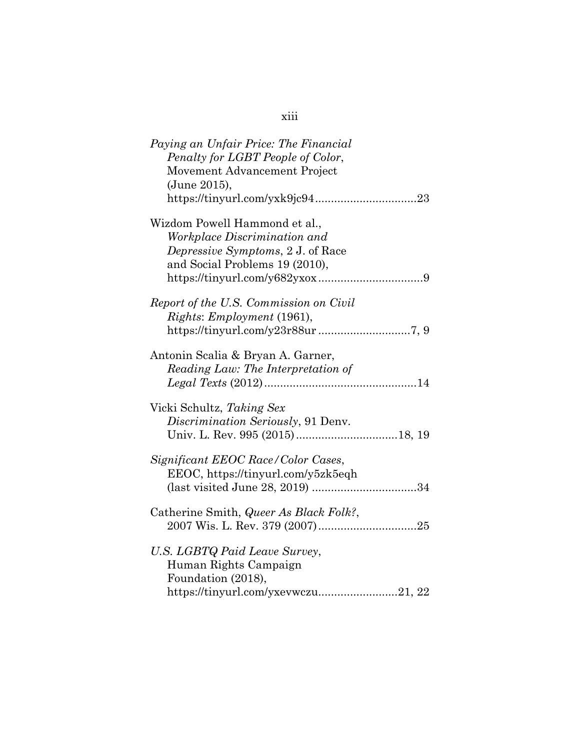| Paying an Unfair Price: The Financial<br>Penalty for LGBT People of Color,<br>Movement Advancement Project<br>(June 2015),                  |
|---------------------------------------------------------------------------------------------------------------------------------------------|
| Wizdom Powell Hammond et al.,<br>Workplace Discrimination and<br><i>Depressive Symptoms, 2 J. of Race</i><br>and Social Problems 19 (2010), |
| Report of the U.S. Commission on Civil<br>Rights: Employment (1961),                                                                        |
| Antonin Scalia & Bryan A. Garner,<br>Reading Law: The Interpretation of                                                                     |
| Vicki Schultz, Taking Sex<br>Discrimination Seriously, 91 Denv.                                                                             |
| Significant EEOC Race/Color Cases,<br>EEOC, https://tinyurl.com/y5zk5eqh                                                                    |
| Catherine Smith, <i>Queer As Black Folk?</i> ,                                                                                              |
| U.S. LGBTQ Paid Leave Survey,<br>Human Rights Campaign<br>Foundation (2018),<br>https://tinyurl.com/yxevwczu21, 22                          |

### xiii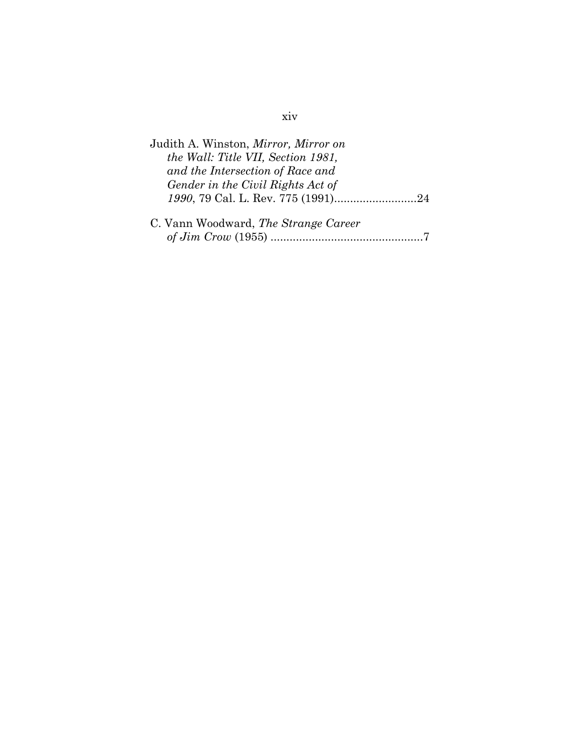| Judith A. Winston, Mirror, Mirror on        |
|---------------------------------------------|
| the Wall: Title VII, Section 1981,          |
| and the Intersection of Race and            |
| Gender in the Civil Rights Act of           |
|                                             |
|                                             |
| C. Vann Woodward, <i>The Strange Career</i> |
|                                             |

### xiv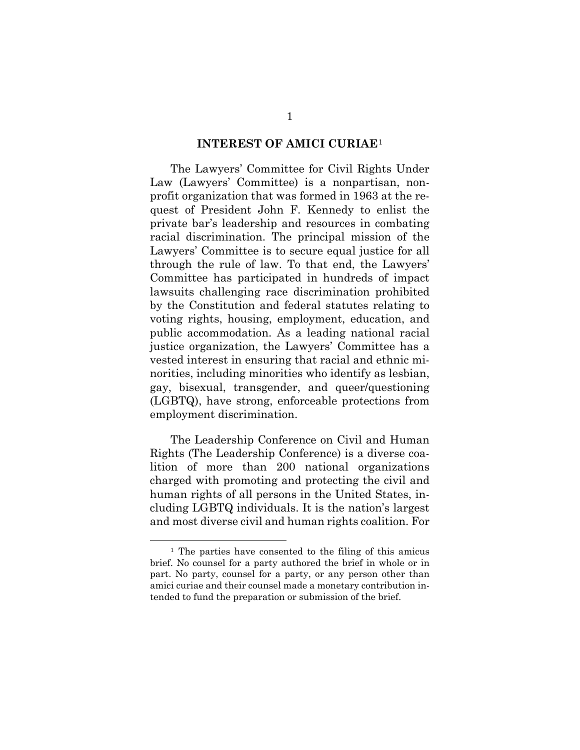#### **INTEREST OF AMICI CURIAE**<sup>1</sup>

<span id="page-16-0"></span>The Lawyers' Committee for Civil Rights Under Law (Lawyers' Committee) is a nonpartisan, nonprofit organization that was formed in 1963 at the request of President John F. Kennedy to enlist the private bar's leadership and resources in combating racial discrimination. The principal mission of the Lawyers' Committee is to secure equal justice for all through the rule of law. To that end, the Lawyers' Committee has participated in hundreds of impact lawsuits challenging race discrimination prohibited by the Constitution and federal statutes relating to voting rights, housing, employment, education, and public accommodation. As a leading national racial justice organization, the Lawyers' Committee has a vested interest in ensuring that racial and ethnic minorities, including minorities who identify as lesbian, gay, bisexual, transgender, and queer/questioning (LGBTQ), have strong, enforceable protections from employment discrimination.

The Leadership Conference on Civil and Human Rights (The Leadership Conference) is a diverse coalition of more than 200 national organizations charged with promoting and protecting the civil and human rights of all persons in the United States, including LGBTQ individuals. It is the nation's largest and most diverse civil and human rights coalition. For

 <sup>1</sup> The parties have consented to the filing of this amicus brief. No counsel for a party authored the brief in whole or in part. No party, counsel for a party, or any person other than amici curiae and their counsel made a monetary contribution intended to fund the preparation or submission of the brief.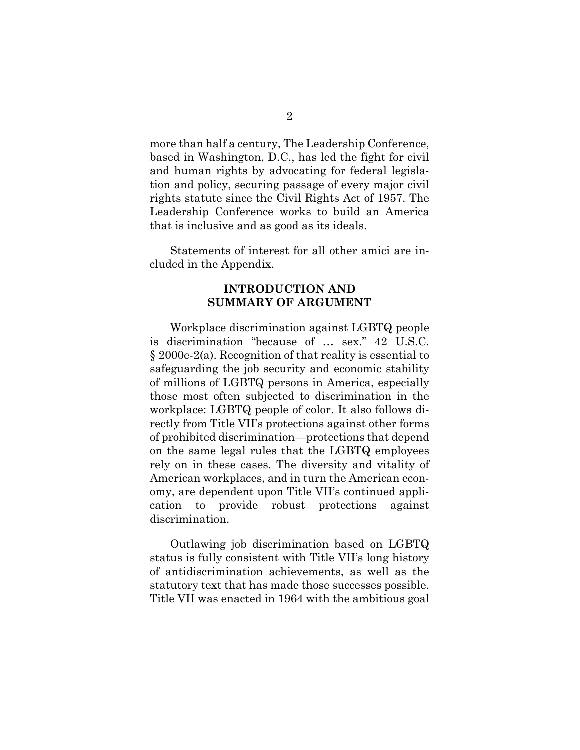more than half a century, The Leadership Conference, based in Washington, D.C., has led the fight for civil and human rights by advocating for federal legislation and policy, securing passage of every major civil rights statute since the Civil Rights Act of 1957. The Leadership Conference works to build an America that is inclusive and as good as its ideals.

<span id="page-17-0"></span>Statements of interest for all other amici are included in the Appendix.

#### **INTRODUCTION AND SUMMARY OF ARGUMENT**

Workplace discrimination against LGBTQ people is discrimination "because of … sex." 42 U.S.C. § 2000e-2(a). Recognition of that reality is essential to safeguarding the job security and economic stability of millions of LGBTQ persons in America, especially those most often subjected to discrimination in the workplace: LGBTQ people of color. It also follows directly from Title VII's protections against other forms of prohibited discrimination—protections that depend on the same legal rules that the LGBTQ employees rely on in these cases. The diversity and vitality of American workplaces, and in turn the American economy, are dependent upon Title VII's continued application to provide robust protections against discrimination.

Outlawing job discrimination based on LGBTQ status is fully consistent with Title VII's long history of antidiscrimination achievements, as well as the statutory text that has made those successes possible. Title VII was enacted in 1964 with the ambitious goal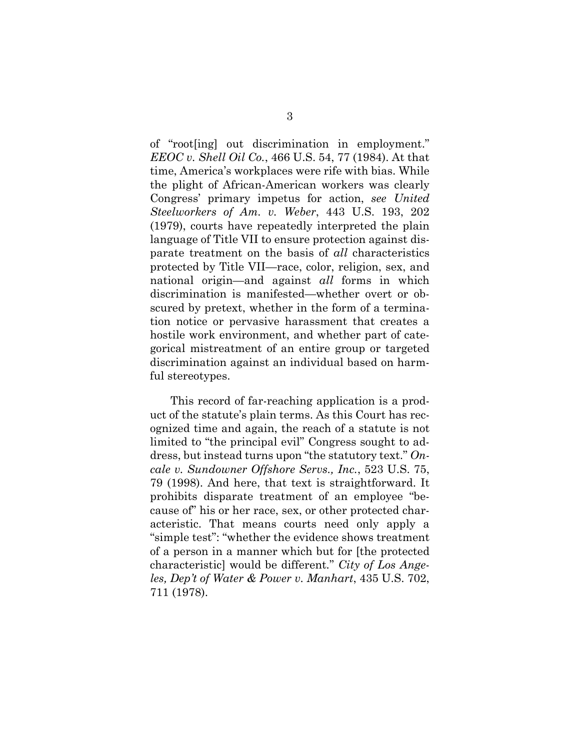of "root[ing] out discrimination in employment." *EEOC v. Shell Oil Co.*, 466 U.S. 54, 77 (1984). At that time, America's workplaces were rife with bias. While the plight of African-American workers was clearly Congress' primary impetus for action, *see United Steelworkers of Am. v. Weber*, 443 U.S. 193, 202 (1979), courts have repeatedly interpreted the plain language of Title VII to ensure protection against disparate treatment on the basis of *all* characteristics protected by Title VII—race, color, religion, sex, and national origin—and against *all* forms in which discrimination is manifested—whether overt or obscured by pretext, whether in the form of a termination notice or pervasive harassment that creates a hostile work environment, and whether part of categorical mistreatment of an entire group or targeted discrimination against an individual based on harmful stereotypes.

This record of far-reaching application is a product of the statute's plain terms. As this Court has recognized time and again, the reach of a statute is not limited to "the principal evil" Congress sought to address, but instead turns upon "the statutory text." *Oncale v. Sundowner Offshore Servs., Inc.*, 523 U.S. 75, 79 (1998). And here, that text is straightforward. It prohibits disparate treatment of an employee "because of" his or her race, sex, or other protected characteristic. That means courts need only apply a "simple test": "whether the evidence shows treatment of a person in a manner which but for [the protected characteristic] would be different*.*" *City of Los Angeles, Dep't of Water & Power v. Manhart*, 435 U.S. 702, 711 (1978).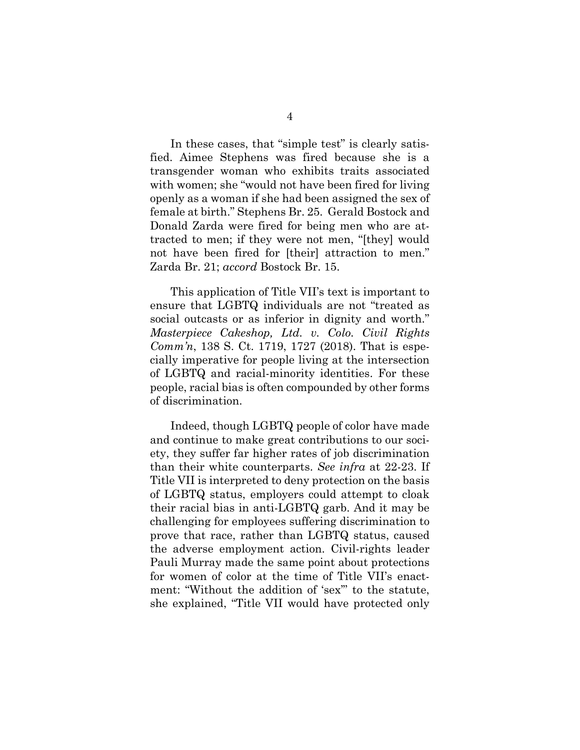In these cases, that "simple test" is clearly satisfied. Aimee Stephens was fired because she is a transgender woman who exhibits traits associated with women; she "would not have been fired for living openly as a woman if she had been assigned the sex of female at birth." Stephens Br. 25. Gerald Bostock and Donald Zarda were fired for being men who are attracted to men; if they were not men, "[they] would not have been fired for [their] attraction to men." Zarda Br. 21; *accord* Bostock Br. 15.

This application of Title VII's text is important to ensure that LGBTQ individuals are not "treated as social outcasts or as inferior in dignity and worth." *Masterpiece Cakeshop, Ltd. v. Colo. Civil Rights Comm'n*, 138 S. Ct. 1719, 1727 (2018). That is especially imperative for people living at the intersection of LGBTQ and racial-minority identities. For these people, racial bias is often compounded by other forms of discrimination.

Indeed, though LGBTQ people of color have made and continue to make great contributions to our society, they suffer far higher rates of job discrimination than their white counterparts. *See infra* at 22-23. If Title VII is interpreted to deny protection on the basis of LGBTQ status, employers could attempt to cloak their racial bias in anti-LGBTQ garb. And it may be challenging for employees suffering discrimination to prove that race, rather than LGBTQ status, caused the adverse employment action. Civil-rights leader Pauli Murray made the same point about protections for women of color at the time of Title VII's enactment: "Without the addition of 'sex'" to the statute, she explained, "Title VII would have protected only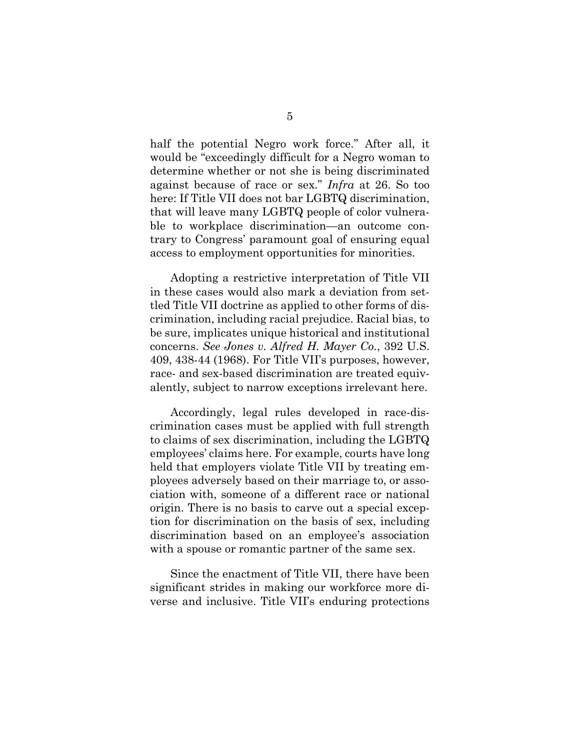half the potential Negro work force." After all, it would be "exceedingly difficult for a Negro woman to determine whether or not she is being discriminated against because of race or sex." *Infra* at 26. So too here: If Title VII does not bar LGBTQ discrimination, that will leave many LGBTQ people of color vulnerable to workplace discrimination—an outcome contrary to Congress' paramount goal of ensuring equal access to employment opportunities for minorities.

Adopting a restrictive interpretation of Title VII in these cases would also mark a deviation from settled Title VII doctrine as applied to other forms of discrimination, including racial prejudice. Racial bias, to be sure, implicates unique historical and institutional concerns. *See Jones v. Alfred H. Mayer Co.*, 392 U.S. 409, 438-44 (1968). For Title VII's purposes, however, race- and sex-based discrimination are treated equivalently, subject to narrow exceptions irrelevant here.

Accordingly, legal rules developed in race-discrimination cases must be applied with full strength to claims of sex discrimination, including the LGBTQ employees' claims here. For example, courts have long held that employers violate Title VII by treating employees adversely based on their marriage to, or association with, someone of a different race or national origin. There is no basis to carve out a special exception for discrimination on the basis of sex, including discrimination based on an employee's association with a spouse or romantic partner of the same sex.

Since the enactment of Title VII, there have been significant strides in making our workforce more diverse and inclusive. Title VII's enduring protections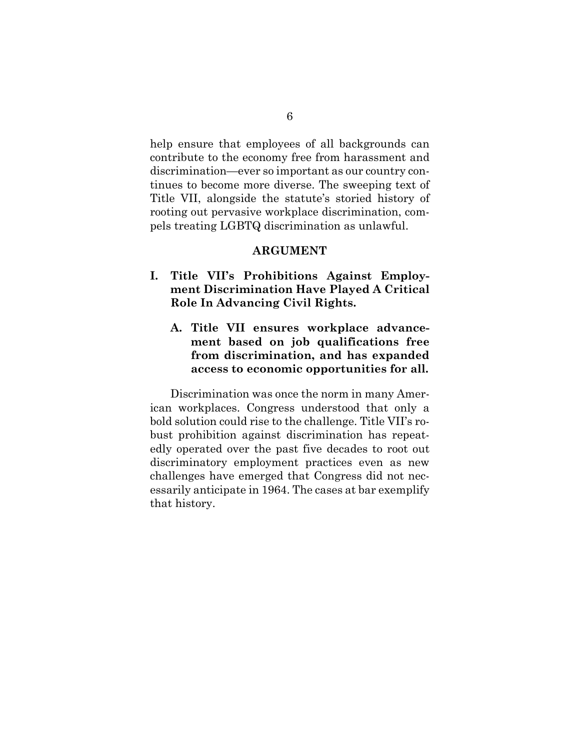help ensure that employees of all backgrounds can contribute to the economy free from harassment and discrimination—ever so important as our country continues to become more diverse. The sweeping text of Title VII, alongside the statute's storied history of rooting out pervasive workplace discrimination, compels treating LGBTQ discrimination as unlawful.

#### **ARGUMENT**

- <span id="page-21-2"></span><span id="page-21-1"></span><span id="page-21-0"></span>**I. Title VII's Prohibitions Against Employment Discrimination Have Played A Critical Role In Advancing Civil Rights.**
	- **A. Title VII ensures workplace advancement based on job qualifications free from discrimination, and has expanded access to economic opportunities for all.**

Discrimination was once the norm in many American workplaces. Congress understood that only a bold solution could rise to the challenge. Title VII's robust prohibition against discrimination has repeatedly operated over the past five decades to root out discriminatory employment practices even as new challenges have emerged that Congress did not necessarily anticipate in 1964. The cases at bar exemplify that history.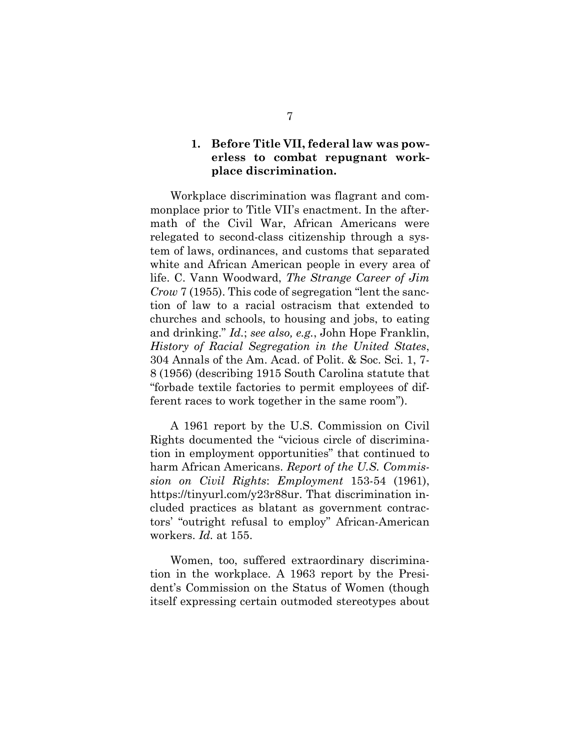#### <span id="page-22-0"></span>**1. Before Title VII, federal law was powerless to combat repugnant workplace discrimination.**

Workplace discrimination was flagrant and commonplace prior to Title VII's enactment. In the aftermath of the Civil War, African Americans were relegated to second-class citizenship through a system of laws, ordinances, and customs that separated white and African American people in every area of life. C. Vann Woodward, *The Strange Career of Jim Crow* 7 (1955). This code of segregation "lent the sanction of law to a racial ostracism that extended to churches and schools, to housing and jobs, to eating and drinking." *Id.*; *see also, e.g.*, John Hope Franklin, *History of Racial Segregation in the United States*, 304 Annals of the Am. Acad. of Polit. & Soc. Sci. 1, 7- 8 (1956) (describing 1915 South Carolina statute that "forbade textile factories to permit employees of different races to work together in the same room").

A 1961 report by the U.S. Commission on Civil Rights documented the "vicious circle of discrimination in employment opportunities" that continued to harm African Americans. *Report of the U.S. Commission on Civil Rights*: *Employment* 153-54 (1961), https://tinyurl.com/y23r88ur. That discrimination included practices as blatant as government contractors' "outright refusal to employ" African-American workers. *Id.* at 155.

Women, too, suffered extraordinary discrimination in the workplace. A 1963 report by the President's Commission on the Status of Women (though itself expressing certain outmoded stereotypes about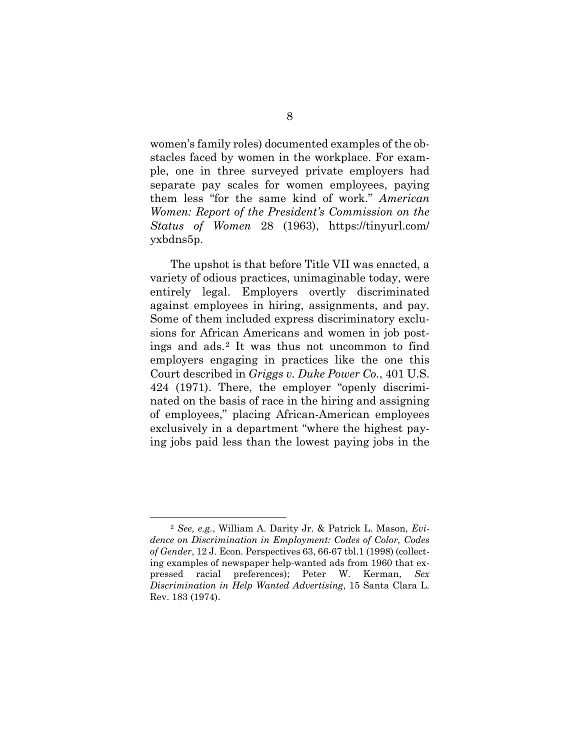women's family roles) documented examples of the obstacles faced by women in the workplace. For example, one in three surveyed private employers had separate pay scales for women employees, paying them less "for the same kind of work." *American Women: Report of the President's Commission on the Status of Women* 28 (1963), https://tinyurl.com/ yxbdns5p.

The upshot is that before Title VII was enacted, a variety of odious practices, unimaginable today, were entirely legal. Employers overtly discriminated against employees in hiring, assignments, and pay. Some of them included express discriminatory exclusions for African Americans and women in job postings and ads.2 It was thus not uncommon to find employers engaging in practices like the one this Court described in *Griggs v. Duke Power Co.*, 401 U.S. 424 (1971). There, the employer "openly discriminated on the basis of race in the hiring and assigning of employees," placing African-American employees exclusively in a department "where the highest paying jobs paid less than the lowest paying jobs in the

 <sup>2</sup> *See, e.g.*, William A. Darity Jr. & Patrick L. Mason, *Evidence on Discrimination in Employment: Codes of Color, Codes of Gender*, 12 J. Econ. Perspectives 63, 66-67 tbl.1 (1998) (collecting examples of newspaper help-wanted ads from 1960 that expressed racial preferences); Peter W. Kerman, *Sex Discrimination in Help Wanted Advertising*, 15 Santa Clara L. Rev. 183 (1974).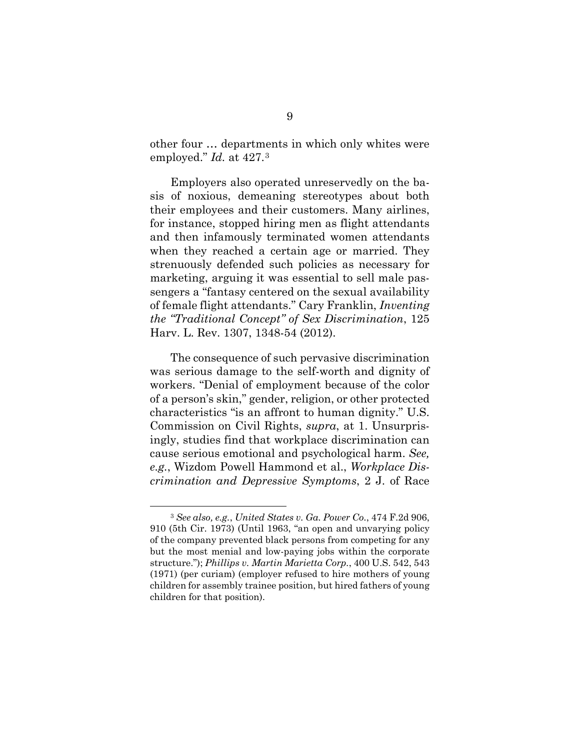other four … departments in which only whites were employed." *Id.* at 427.3

Employers also operated unreservedly on the basis of noxious, demeaning stereotypes about both their employees and their customers. Many airlines, for instance, stopped hiring men as flight attendants and then infamously terminated women attendants when they reached a certain age or married. They strenuously defended such policies as necessary for marketing, arguing it was essential to sell male passengers a "fantasy centered on the sexual availability of female flight attendants." Cary Franklin, *Inventing the "Traditional Concept" of Sex Discrimination*, 125 Harv. L. Rev. 1307, 1348-54 (2012).

The consequence of such pervasive discrimination was serious damage to the self-worth and dignity of workers. "Denial of employment because of the color of a person's skin," gender, religion, or other protected characteristics "is an affront to human dignity." U.S. Commission on Civil Rights, *supra*, at 1. Unsurprisingly, studies find that workplace discrimination can cause serious emotional and psychological harm. *See, e.g.*, Wizdom Powell Hammond et al., *Workplace Discrimination and Depressive Symptoms*, 2 J. of Race

 <sup>3</sup> *See also, e.g.*, *United States v. Ga. Power Co.*, 474 F.2d 906, 910 (5th Cir. 1973) (Until 1963, "an open and unvarying policy of the company prevented black persons from competing for any but the most menial and low-paying jobs within the corporate structure."); *Phillips v. Martin Marietta Corp.*, 400 U.S. 542, 543 (1971) (per curiam) (employer refused to hire mothers of young children for assembly trainee position, but hired fathers of young children for that position).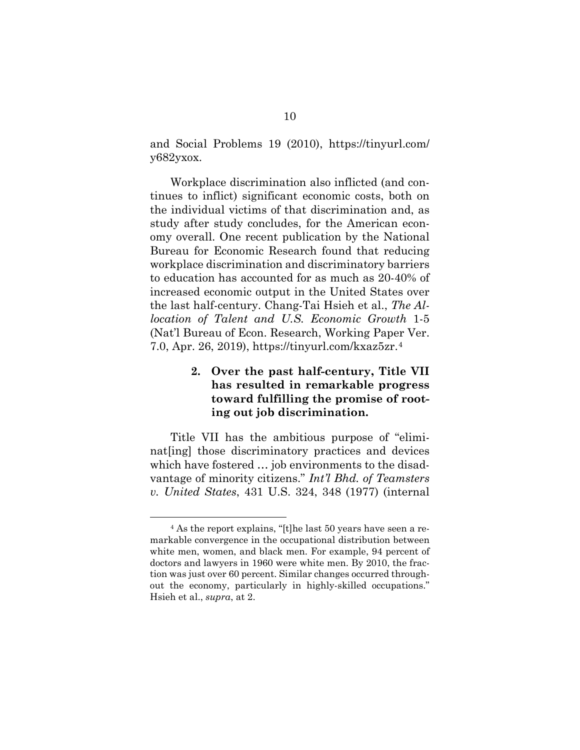and Social Problems 19 (2010), https://tinyurl.com/ y682yxox.

Workplace discrimination also inflicted (and continues to inflict) significant economic costs, both on the individual victims of that discrimination and, as study after study concludes, for the American economy overall. One recent publication by the National Bureau for Economic Research found that reducing workplace discrimination and discriminatory barriers to education has accounted for as much as 20-40% of increased economic output in the United States over the last half-century. Chang-Tai Hsieh et al., *The Allocation of Talent and U.S. Economic Growth* 1-5 (Nat'l Bureau of Econ. Research, Working Paper Ver. 7.0, Apr. 26, 2019), https://tinyurl.com/kxaz5zr.4

### <span id="page-25-0"></span>**2. Over the past half-century, Title VII has resulted in remarkable progress toward fulfilling the promise of rooting out job discrimination.**

Title VII has the ambitious purpose of "eliminat[ing] those discriminatory practices and devices which have fostered … job environments to the disadvantage of minority citizens." *Int'l Bhd. of Teamsters v. United States*, 431 U.S. 324, 348 (1977) (internal

 <sup>4</sup> As the report explains, "[t]he last 50 years have seen a remarkable convergence in the occupational distribution between white men, women, and black men. For example, 94 percent of doctors and lawyers in 1960 were white men. By 2010, the fraction was just over 60 percent. Similar changes occurred throughout the economy, particularly in highly-skilled occupations." Hsieh et al., *supra*, at 2.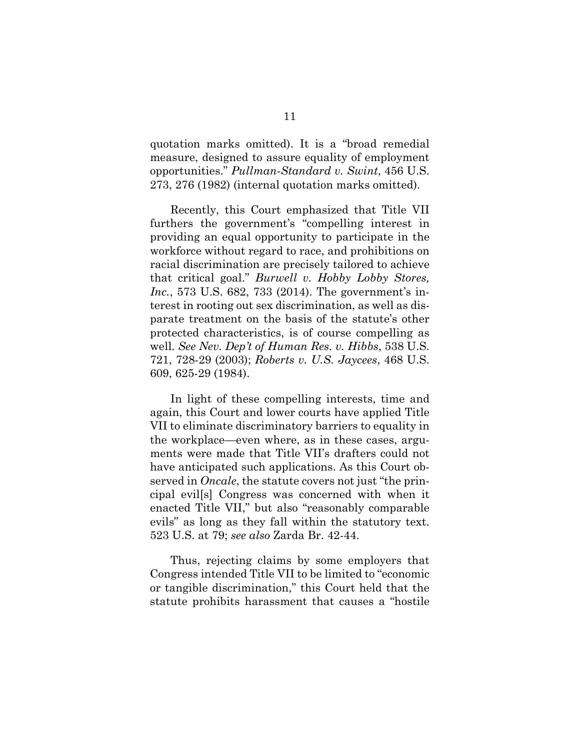quotation marks omitted). It is a "broad remedial measure, designed to assure equality of employment opportunities." *Pullman-Standard v. Swint*, 456 U.S. 273, 276 (1982) (internal quotation marks omitted).

Recently, this Court emphasized that Title VII furthers the government's "compelling interest in providing an equal opportunity to participate in the workforce without regard to race, and prohibitions on racial discrimination are precisely tailored to achieve that critical goal." *Burwell v. Hobby Lobby Stores, Inc.*, 573 U.S. 682, 733 (2014). The government's interest in rooting out sex discrimination, as well as disparate treatment on the basis of the statute's other protected characteristics, is of course compelling as well. *See Nev. Dep't of Human Res. v. Hibbs*, 538 U.S. 721, 728-29 (2003); *Roberts v. U.S. Jaycees*, 468 U.S. 609, 625-29 (1984).

In light of these compelling interests, time and again, this Court and lower courts have applied Title VII to eliminate discriminatory barriers to equality in the workplace—even where, as in these cases, arguments were made that Title VII's drafters could not have anticipated such applications. As this Court observed in *Oncale*, the statute covers not just "the principal evil[s] Congress was concerned with when it enacted Title VII," but also "reasonably comparable evils" as long as they fall within the statutory text. 523 U.S. at 79; *see also* Zarda Br. 42-44.

Thus, rejecting claims by some employers that Congress intended Title VII to be limited to "economic or tangible discrimination," this Court held that the statute prohibits harassment that causes a "hostile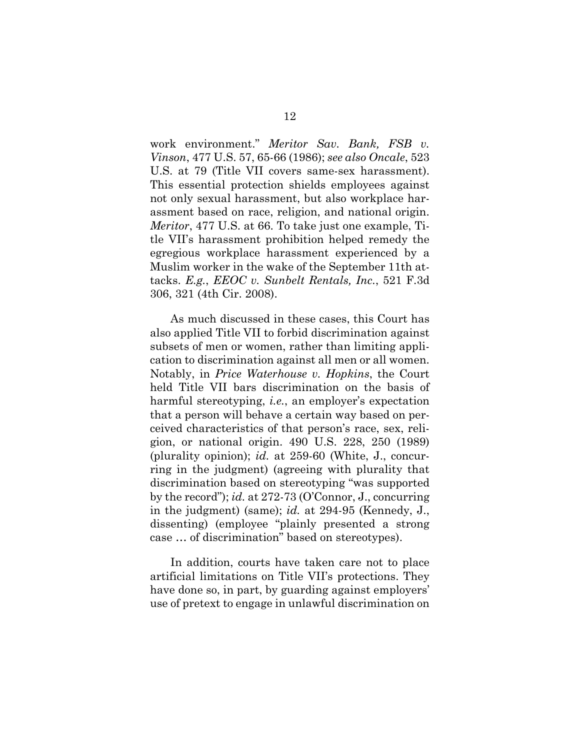work environment." *Meritor Sav. Bank, FSB v. Vinson*, 477 U.S. 57, 65-66 (1986); *see also Oncale*, 523 U.S. at 79 (Title VII covers same-sex harassment). This essential protection shields employees against not only sexual harassment, but also workplace harassment based on race, religion, and national origin. *Meritor*, 477 U.S. at 66. To take just one example, Title VII's harassment prohibition helped remedy the egregious workplace harassment experienced by a Muslim worker in the wake of the September 11th attacks. *E.g.*, *EEOC v. Sunbelt Rentals, Inc.*, 521 F.3d 306, 321 (4th Cir. 2008).

As much discussed in these cases, this Court has also applied Title VII to forbid discrimination against subsets of men or women, rather than limiting application to discrimination against all men or all women. Notably, in *Price Waterhouse v. Hopkins*, the Court held Title VII bars discrimination on the basis of harmful stereotyping, *i.e.*, an employer's expectation that a person will behave a certain way based on perceived characteristics of that person's race, sex, religion, or national origin. 490 U.S. 228, 250 (1989) (plurality opinion); *id.* at 259-60 (White, J., concurring in the judgment) (agreeing with plurality that discrimination based on stereotyping "was supported by the record"); *id.* at 272-73 (O'Connor, J., concurring in the judgment) (same); *id.* at 294-95 (Kennedy, J., dissenting) (employee "plainly presented a strong case … of discrimination" based on stereotypes).

In addition, courts have taken care not to place artificial limitations on Title VII's protections. They have done so, in part, by guarding against employers' use of pretext to engage in unlawful discrimination on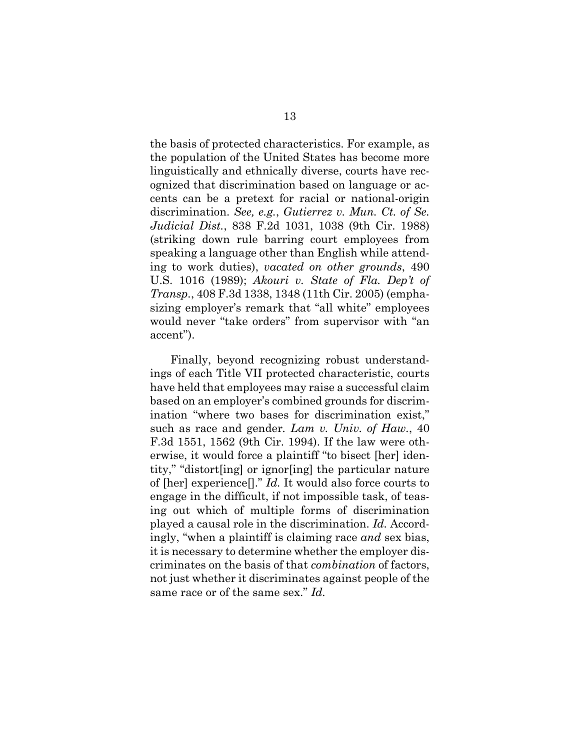the basis of protected characteristics. For example, as the population of the United States has become more linguistically and ethnically diverse, courts have recognized that discrimination based on language or accents can be a pretext for racial or national-origin discrimination. *See, e.g.*, *Gutierrez v. Mun. Ct. of Se. Judicial Dist.*, 838 F.2d 1031, 1038 (9th Cir. 1988) (striking down rule barring court employees from speaking a language other than English while attending to work duties), *vacated on other grounds*, 490 U.S. 1016 (1989); *Akouri v. State of Fla. Dep't of Transp.*, 408 F.3d 1338, 1348 (11th Cir. 2005) (emphasizing employer's remark that "all white" employees would never "take orders" from supervisor with "an accent").

Finally, beyond recognizing robust understandings of each Title VII protected characteristic, courts have held that employees may raise a successful claim based on an employer's combined grounds for discrimination "where two bases for discrimination exist," such as race and gender*. Lam v. Univ. of Haw.*, 40 F.3d 1551, 1562 (9th Cir. 1994). If the law were otherwise, it would force a plaintiff "to bisect [her] identity," "distort[ing] or ignor[ing] the particular nature of [her] experience[]." *Id.* It would also force courts to engage in the difficult, if not impossible task, of teasing out which of multiple forms of discrimination played a causal role in the discrimination. *Id.* Accordingly, "when a plaintiff is claiming race *and* sex bias, it is necessary to determine whether the employer discriminates on the basis of that *combination* of factors, not just whether it discriminates against people of the same race or of the same sex." *Id.*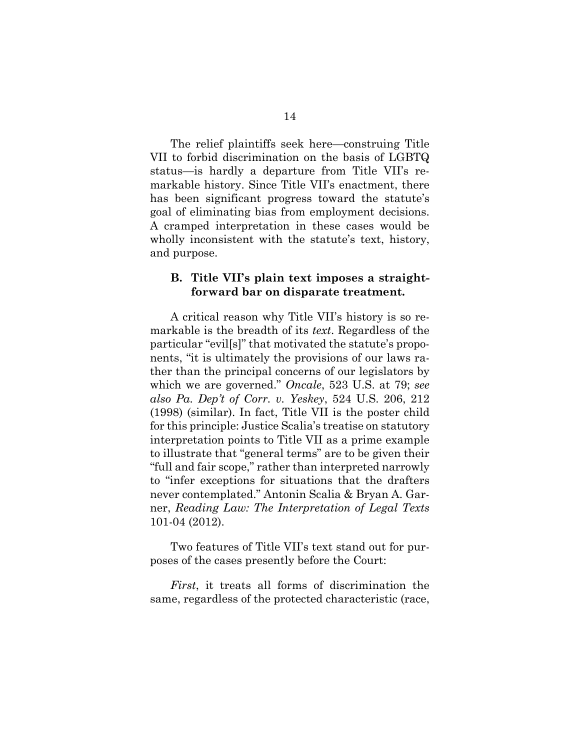The relief plaintiffs seek here—construing Title VII to forbid discrimination on the basis of LGBTQ status—is hardly a departure from Title VII's remarkable history. Since Title VII's enactment, there has been significant progress toward the statute's goal of eliminating bias from employment decisions. A cramped interpretation in these cases would be wholly inconsistent with the statute's text, history, and purpose.

#### <span id="page-29-0"></span>**B. Title VII's plain text imposes a straightforward bar on disparate treatment.**

A critical reason why Title VII's history is so remarkable is the breadth of its *text*. Regardless of the particular "evil[s]" that motivated the statute's proponents, "it is ultimately the provisions of our laws rather than the principal concerns of our legislators by which we are governed." *Oncale*, 523 U.S. at 79; *see also Pa. Dep't of Corr. v. Yeskey*, 524 U.S. 206, 212 (1998) (similar). In fact, Title VII is the poster child for this principle: Justice Scalia's treatise on statutory interpretation points to Title VII as a prime example to illustrate that "general terms" are to be given their "full and fair scope," rather than interpreted narrowly to "infer exceptions for situations that the drafters never contemplated." Antonin Scalia & Bryan A. Garner, *Reading Law: The Interpretation of Legal Texts* 101-04 (2012).

Two features of Title VII's text stand out for purposes of the cases presently before the Court:

*First*, it treats all forms of discrimination the same, regardless of the protected characteristic (race,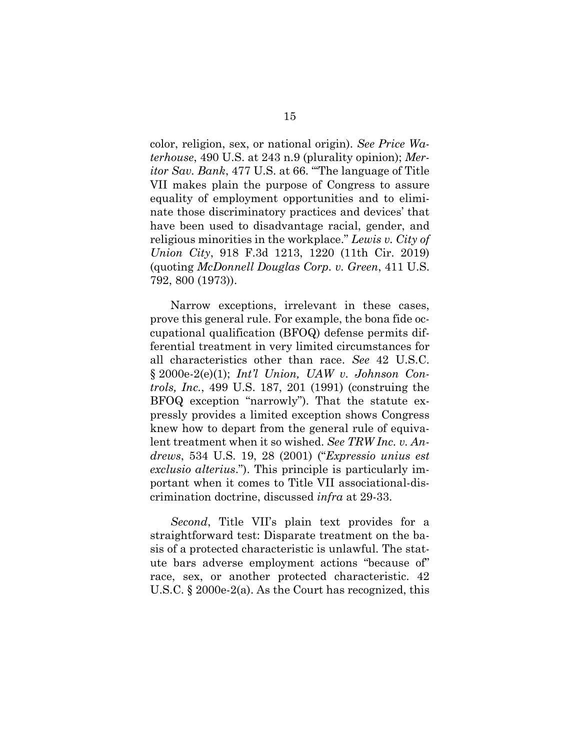color, religion, sex, or national origin). *See Price Waterhouse*, 490 U.S. at 243 n.9 (plurality opinion); *Meritor Sav. Bank*, 477 U.S. at 66. "'The language of Title VII makes plain the purpose of Congress to assure equality of employment opportunities and to eliminate those discriminatory practices and devices' that have been used to disadvantage racial, gender, and religious minorities in the workplace." *Lewis v. City of Union City*, 918 F.3d 1213, 1220 (11th Cir. 2019) (quoting *McDonnell Douglas Corp. v. Green*, 411 U.S. 792, 800 (1973)).

Narrow exceptions, irrelevant in these cases, prove this general rule. For example, the bona fide occupational qualification (BFOQ) defense permits differential treatment in very limited circumstances for all characteristics other than race. *See* 42 U.S.C. § 2000e-2(e)(1); *Int'l Union, UAW v. Johnson Controls, Inc.*, 499 U.S. 187, 201 (1991) (construing the BFOQ exception "narrowly"). That the statute expressly provides a limited exception shows Congress knew how to depart from the general rule of equivalent treatment when it so wished. *See TRW Inc. v. Andrews*, 534 U.S. 19, 28 (2001) ("*Expressio unius est exclusio alterius*."). This principle is particularly important when it comes to Title VII associational-discrimination doctrine, discussed *infra* at 29-33.

*Second*, Title VII's plain text provides for a straightforward test: Disparate treatment on the basis of a protected characteristic is unlawful. The statute bars adverse employment actions "because of" race, sex, or another protected characteristic. 42 U.S.C. § 2000e-2(a). As the Court has recognized, this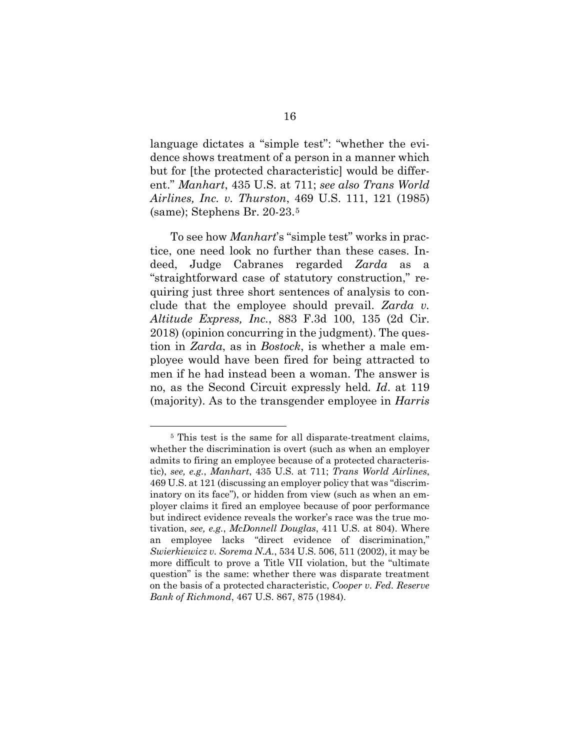language dictates a "simple test": "whether the evidence shows treatment of a person in a manner which but for [the protected characteristic] would be different." *Manhart*, 435 U.S. at 711; *see also Trans World Airlines, Inc. v. Thurston*, 469 U.S. 111, 121 (1985) (same); Stephens Br. 20-23.5

To see how *Manhart*'s "simple test" works in practice, one need look no further than these cases. Indeed, Judge Cabranes regarded *Zarda* as a "straightforward case of statutory construction," requiring just three short sentences of analysis to conclude that the employee should prevail. *Zarda v. Altitude Express, Inc.*, 883 F.3d 100, 135 (2d Cir. 2018) (opinion concurring in the judgment). The question in *Zarda*, as in *Bostock*, is whether a male employee would have been fired for being attracted to men if he had instead been a woman. The answer is no, as the Second Circuit expressly held*. Id*. at 119 (majority). As to the transgender employee in *Harris* 

 <sup>5</sup> This test is the same for all disparate-treatment claims, whether the discrimination is overt (such as when an employer admits to firing an employee because of a protected characteristic), *see, e.g.*, *Manhart*, 435 U.S. at 711; *Trans World Airlines*, 469 U.S. at 121 (discussing an employer policy that was "discriminatory on its face"), or hidden from view (such as when an employer claims it fired an employee because of poor performance but indirect evidence reveals the worker's race was the true motivation, *see, e.g.*, *McDonnell Douglas*, 411 U.S. at 804). Where an employee lacks "direct evidence of discrimination," *Swierkiewicz v. Sorema N.A.*, 534 U.S. 506, 511 (2002), it may be more difficult to prove a Title VII violation, but the "ultimate question" is the same: whether there was disparate treatment on the basis of a protected characteristic, *Cooper v. Fed. Reserve Bank of Richmond*, 467 U.S. 867, 875 (1984).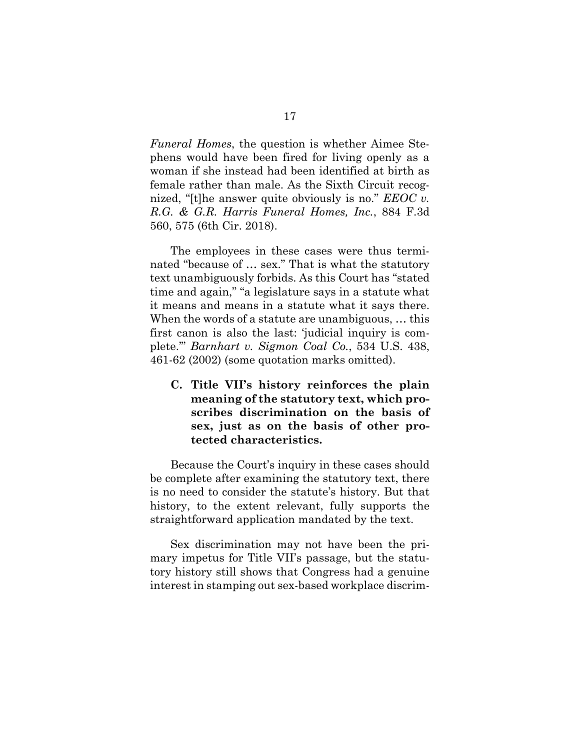*Funeral Homes*, the question is whether Aimee Stephens would have been fired for living openly as a woman if she instead had been identified at birth as female rather than male. As the Sixth Circuit recognized, "[t]he answer quite obviously is no." *EEOC v. R.G. & G.R. Harris Funeral Homes, Inc.*, 884 F.3d 560, 575 (6th Cir. 2018).

The employees in these cases were thus terminated "because of … sex." That is what the statutory text unambiguously forbids. As this Court has "stated time and again," "a legislature says in a statute what it means and means in a statute what it says there. When the words of a statute are unambiguous, … this first canon is also the last: 'judicial inquiry is complete.'" *Barnhart v. Sigmon Coal Co.*, 534 U.S. 438, 461-62 (2002) (some quotation marks omitted).

<span id="page-32-0"></span>**C. Title VII's history reinforces the plain meaning of the statutory text, which proscribes discrimination on the basis of sex, just as on the basis of other protected characteristics.**

Because the Court's inquiry in these cases should be complete after examining the statutory text, there is no need to consider the statute's history. But that history, to the extent relevant, fully supports the straightforward application mandated by the text.

Sex discrimination may not have been the primary impetus for Title VII's passage, but the statutory history still shows that Congress had a genuine interest in stamping out sex-based workplace discrim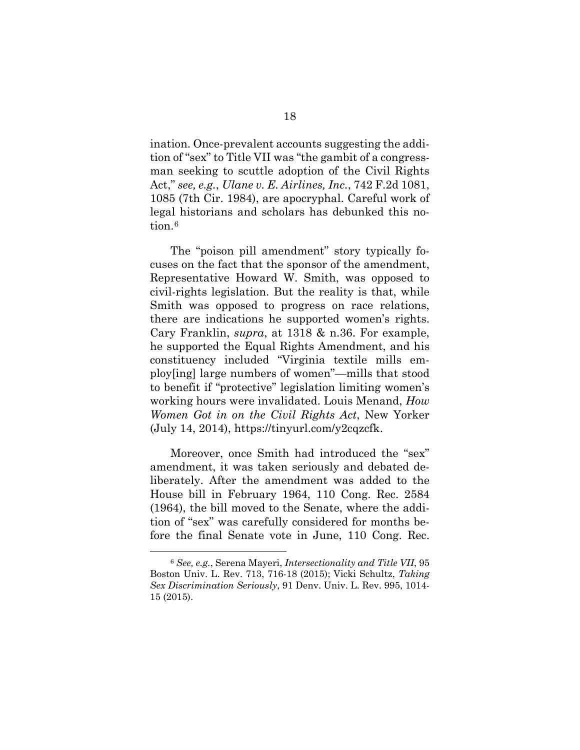ination. Once-prevalent accounts suggesting the addition of "sex" to Title VII was "the gambit of a congressman seeking to scuttle adoption of the Civil Rights Act," *see, e.g.*, *Ulane v. E. Airlines, Inc.*, 742 F.2d 1081, 1085 (7th Cir. 1984), are apocryphal. Careful work of legal historians and scholars has debunked this notion.<sup>6</sup>

The "poison pill amendment" story typically focuses on the fact that the sponsor of the amendment, Representative Howard W. Smith, was opposed to civil-rights legislation. But the reality is that, while Smith was opposed to progress on race relations, there are indications he supported women's rights. Cary Franklin, *supra*, at 1318 & n.36. For example, he supported the Equal Rights Amendment, and his constituency included "Virginia textile mills employ[ing] large numbers of women"—mills that stood to benefit if "protective" legislation limiting women's working hours were invalidated. Louis Menand, *How Women Got in on the Civil Rights Act*, New Yorker  $(July 14, 2014), <https://tinyurl.com/y2cqzcfk>.$ 

Moreover, once Smith had introduced the "sex" amendment, it was taken seriously and debated deliberately. After the amendment was added to the House bill in February 1964, 110 Cong. Rec. 2584 (1964), the bill moved to the Senate, where the addition of "sex" was carefully considered for months before the final Senate vote in June, 110 Cong. Rec.

 <sup>6</sup> *See, e.g.*, Serena Mayeri, *Intersectionality and Title VII*, 95 Boston Univ. L. Rev. 713, 716-18 (2015); Vicki Schultz, *Taking Sex Discrimination Seriously*, 91 Denv. Univ. L. Rev. 995, 1014- 15 (2015).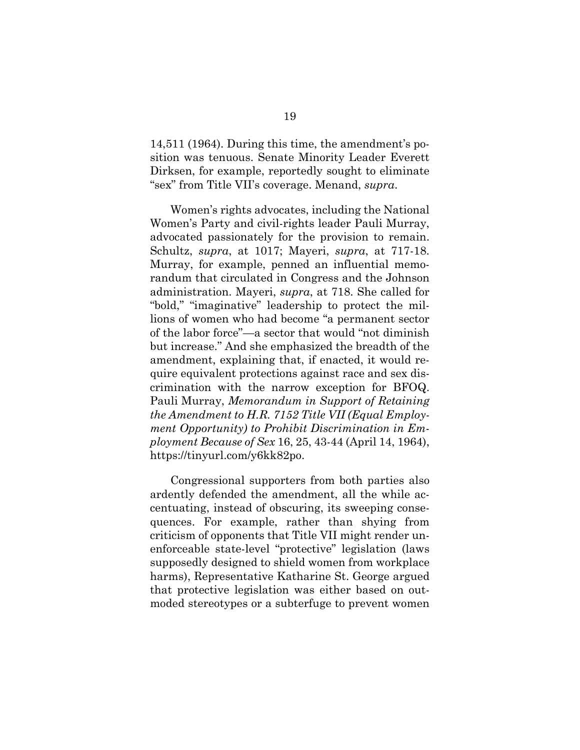14,511 (1964). During this time, the amendment's position was tenuous. Senate Minority Leader Everett Dirksen, for example, reportedly sought to eliminate "sex" from Title VII's coverage. Menand, *supra*.

Women's rights advocates, including the National Women's Party and civil-rights leader Pauli Murray, advocated passionately for the provision to remain. Schultz, *supra*, at 1017; Mayeri, *supra*, at 717-18. Murray, for example, penned an influential memorandum that circulated in Congress and the Johnson administration. Mayeri, *supra*, at 718. She called for "bold," "imaginative" leadership to protect the millions of women who had become "a permanent sector of the labor force"—a sector that would "not diminish but increase." And she emphasized the breadth of the amendment, explaining that, if enacted, it would require equivalent protections against race and sex discrimination with the narrow exception for BFOQ. Pauli Murray, *Memorandum in Support of Retaining the Amendment to H.R. 7152 Title VII (Equal Employment Opportunity) to Prohibit Discrimination in Employment Because of Sex* 16, 25, 43-44 (April 14, 1964), https://tinyurl.com/y6kk82po.

Congressional supporters from both parties also ardently defended the amendment, all the while accentuating, instead of obscuring, its sweeping consequences. For example, rather than shying from criticism of opponents that Title VII might render unenforceable state-level "protective" legislation (laws supposedly designed to shield women from workplace harms), Representative Katharine St. George argued that protective legislation was either based on outmoded stereotypes or a subterfuge to prevent women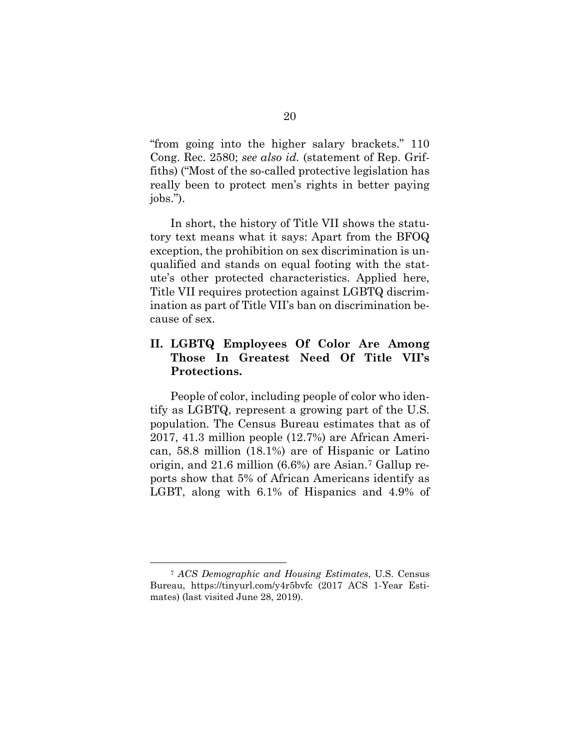"from going into the higher salary brackets." 110 Cong. Rec. 2580; *see also id.* (statement of Rep. Griffiths) ("Most of the so-called protective legislation has really been to protect men's rights in better paying jobs.").

In short, the history of Title VII shows the statutory text means what it says: Apart from the BFOQ exception, the prohibition on sex discrimination is unqualified and stands on equal footing with the statute's other protected characteristics. Applied here, Title VII requires protection against LGBTQ discrimination as part of Title VII's ban on discrimination because of sex.

### <span id="page-35-0"></span>**II. LGBTQ Employees Of Color Are Among Those In Greatest Need Of Title VII's Protections.**

People of color, including people of color who identify as LGBTQ, represent a growing part of the U.S. population. The Census Bureau estimates that as of 2017, 41.3 million people (12.7%) are African American, 58.8 million (18.1%) are of Hispanic or Latino origin, and 21.6 million (6.6%) are Asian.7 Gallup reports show that 5% of African Americans identify as LGBT, along with 6.1% of Hispanics and 4.9% of

 <sup>7</sup> *ACS Demographic and Housing Estimates*, U.S. Census Bureau, https://tinyurl.com/y4r5bvfc (2017 ACS 1-Year Estimates) (last visited June 28, 2019).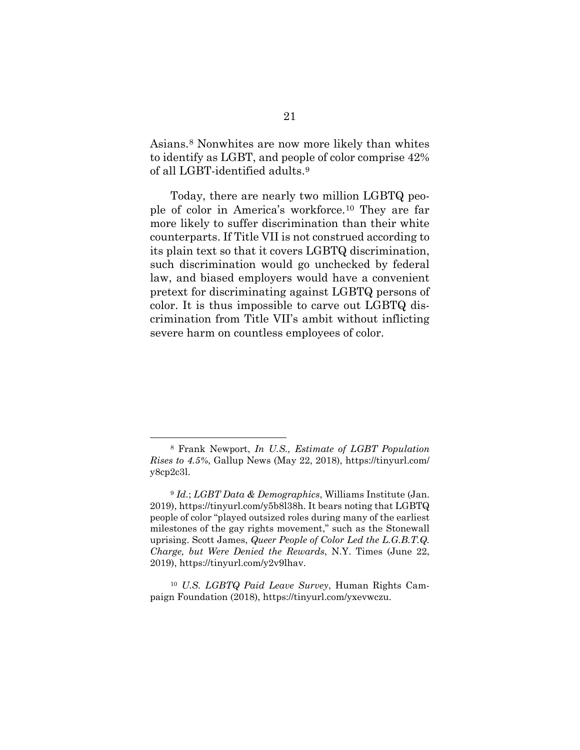Asians.8 Nonwhites are now more likely than whites to identify as LGBT, and people of color comprise 42% of all LGBT-identified adults.9

Today, there are nearly two million LGBTQ people of color in America's workforce.10 They are far more likely to suffer discrimination than their white counterparts. If Title VII is not construed according to its plain text so that it covers LGBTQ discrimination, such discrimination would go unchecked by federal law, and biased employers would have a convenient pretext for discriminating against LGBTQ persons of color. It is thus impossible to carve out LGBTQ discrimination from Title VII's ambit without inflicting severe harm on countless employees of color.

 <sup>8</sup> Frank Newport, *In U.S., Estimate of LGBT Population Rises to 4.5%*, Gallup News (May 22, 2018), https://tinyurl.com/ y8cp2c3l.

<sup>9</sup> *Id.*; *LGBT Data & Demographics*, Williams Institute (Jan. 2019), https://tinyurl.com/y5b8l38h. It bears noting that LGBTQ people of color "played outsized roles during many of the earliest milestones of the gay rights movement," such as the Stonewall uprising. Scott James, *Queer People of Color Led the L.G.B.T.Q. Charge, but Were Denied the Rewards*, N.Y. Times (June 22, 2019), https://tinyurl.com/y2v9lhav.

<sup>10</sup> *U.S. LGBTQ Paid Leave Survey*, Human Rights Campaign Foundation (2018), https://tinyurl.com/yxevwczu.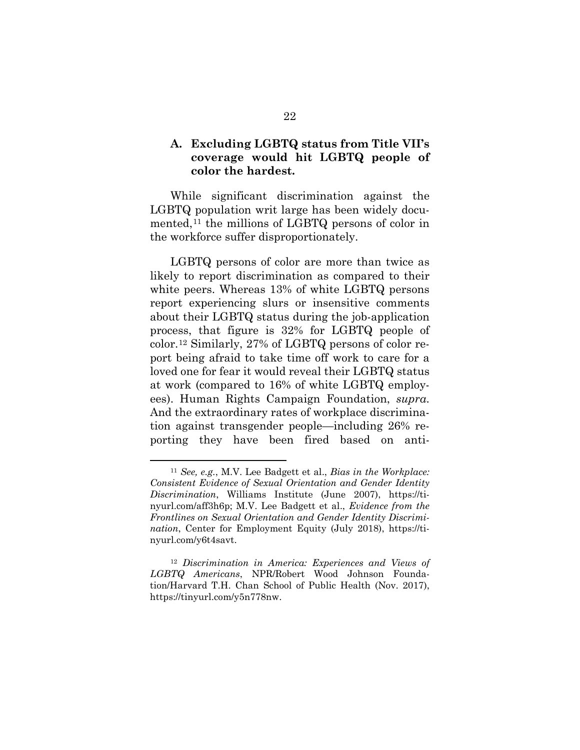#### **A. Excluding LGBTQ status from Title VII's coverage would hit LGBTQ people of color the hardest.**

While significant discrimination against the LGBTQ population writ large has been widely documented,<sup>11</sup> the millions of LGBTQ persons of color in the workforce suffer disproportionately.

LGBTQ persons of color are more than twice as likely to report discrimination as compared to their white peers. Whereas 13% of white LGBTQ persons report experiencing slurs or insensitive comments about their LGBTQ status during the job-application process, that figure is 32% for LGBTQ people of color.12 Similarly, 27% of LGBTQ persons of color report being afraid to take time off work to care for a loved one for fear it would reveal their LGBTQ status at work (compared to 16% of white LGBTQ employees). Human Rights Campaign Foundation, *supra*. And the extraordinary rates of workplace discrimination against transgender people—including 26% reporting they have been fired based on anti-

 <sup>11</sup> *See, e.g.*, M.V. Lee Badgett et al., *Bias in the Workplace: Consistent Evidence of Sexual Orientation and Gender Identity Discrimination*, Williams Institute (June 2007), https://tinyurl.com/aff3h6p; M.V. Lee Badgett et al., *Evidence from the Frontlines on Sexual Orientation and Gender Identity Discrimination*, Center for Employment Equity (July 2018), https://tinyurl.com/y6t4savt.

<sup>12</sup> *Discrimination in America: Experiences and Views of LGBTQ Americans*, NPR/Robert Wood Johnson Foundation/Harvard T.H. Chan School of Public Health (Nov. 2017), https://tinyurl.com/y5n778nw.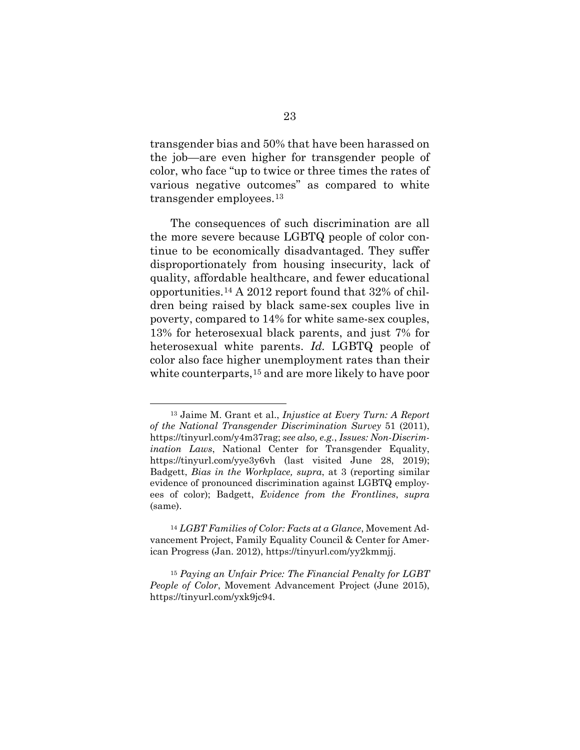transgender bias and 50% that have been harassed on the job—are even higher for transgender people of color, who face "up to twice or three times the rates of various negative outcomes" as compared to white transgender employees.13

The consequences of such discrimination are all the more severe because LGBTQ people of color continue to be economically disadvantaged. They suffer disproportionately from housing insecurity, lack of quality, affordable healthcare, and fewer educational opportunities.14 A 2012 report found that 32% of children being raised by black same-sex couples live in poverty, compared to 14% for white same-sex couples, 13% for heterosexual black parents, and just 7% for heterosexual white parents. *Id.* LGBTQ people of color also face higher unemployment rates than their white counterparts,15 and are more likely to have poor

 <sup>13</sup> Jaime M. Grant et al., *Injustice at Every Turn: A Report of the National Transgender Discrimination Survey* 51 (2011), https://tinyurl.com/y4m37rag; *see also, e.g.*, *Issues: Non-Discrimination Laws*, National Center for Transgender Equality, https://tinyurl.com/yye3y6vh (last visited June 28, 2019); Badgett, *Bias in the Workplace, supra*, at 3 (reporting similar evidence of pronounced discrimination against LGBTQ employees of color); Badgett, *Evidence from the Frontlines*, *supra*  (same).

<sup>14</sup> *LGBT Families of Color: Facts at a Glance*, Movement Advancement Project, Family Equality Council & Center for American Progress (Jan. 2012), https://tinyurl.com/yy2kmmjj.

<sup>15</sup> *Paying an Unfair Price: The Financial Penalty for LGBT People of Color*, Movement Advancement Project (June 2015), https://tinyurl.com/yxk9jc94.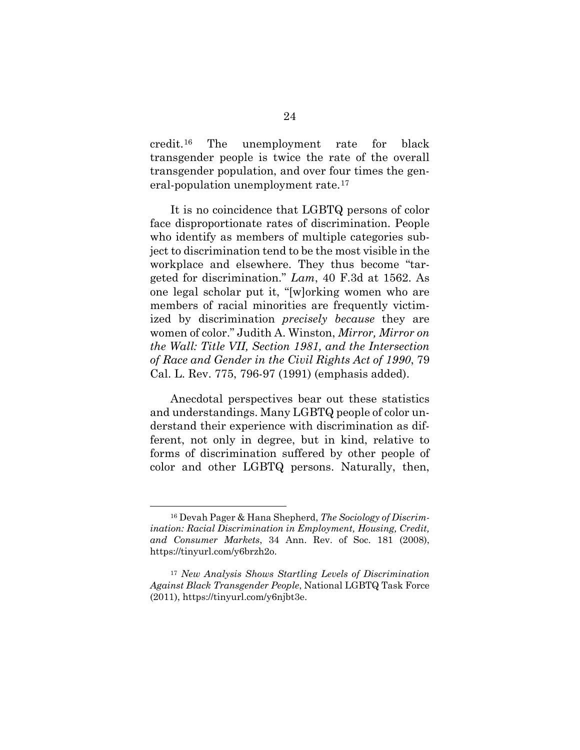credit.16 The unemployment rate for black transgender people is twice the rate of the overall transgender population, and over four times the general-population unemployment rate.<sup>17</sup>

It is no coincidence that LGBTQ persons of color face disproportionate rates of discrimination. People who identify as members of multiple categories subject to discrimination tend to be the most visible in the workplace and elsewhere. They thus become "targeted for discrimination." *Lam*, 40 F.3d at 1562. As one legal scholar put it, "[w]orking women who are members of racial minorities are frequently victimized by discrimination *precisely because* they are women of color." Judith A. Winston, *Mirror, Mirror on the Wall: Title VII, Section 1981, and the Intersection of Race and Gender in the Civil Rights Act of 1990*, 79 Cal. L. Rev. 775, 796-97 (1991) (emphasis added).

Anecdotal perspectives bear out these statistics and understandings. Many LGBTQ people of color understand their experience with discrimination as different, not only in degree, but in kind, relative to forms of discrimination suffered by other people of color and other LGBTQ persons. Naturally, then,

 <sup>16</sup> Devah Pager & Hana Shepherd, *The Sociology of Discrimination: Racial Discrimination in Employment, Housing, Credit, and Consumer Markets*, 34 Ann. Rev. of Soc. 181 (2008), https://tinyurl.com/y6brzh2o.

<sup>17</sup> *New Analysis Shows Startling Levels of Discrimination Against Black Transgender People*, National LGBTQ Task Force (2011), https://tinyurl.com/y6njbt3e.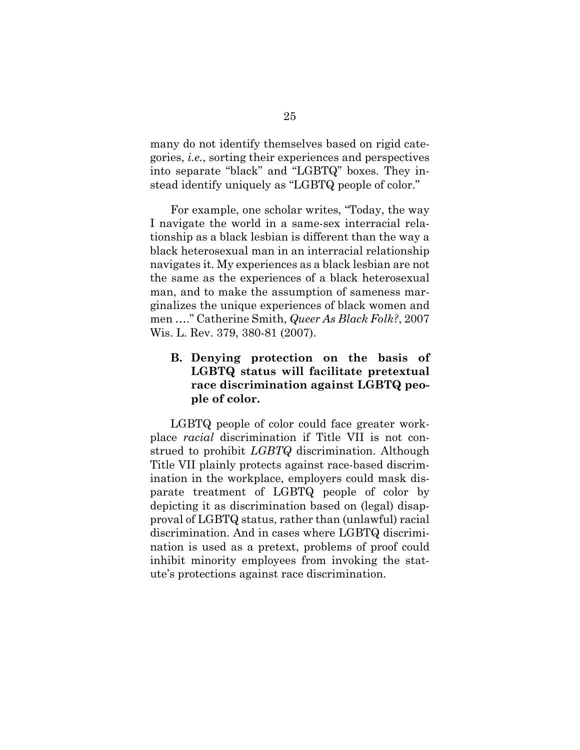many do not identify themselves based on rigid categories, *i.e.*, sorting their experiences and perspectives into separate "black" and "LGBTQ" boxes. They instead identify uniquely as "LGBTQ people of color."

For example, one scholar writes, "Today, the way I navigate the world in a same-sex interracial relationship as a black lesbian is different than the way a black heterosexual man in an interracial relationship navigates it. My experiences as a black lesbian are not the same as the experiences of a black heterosexual man, and to make the assumption of sameness marginalizes the unique experiences of black women and men …." Catherine Smith, *Queer As Black Folk?*, 2007 Wis. L. Rev. 379, 380-81 (2007).

# **B. Denying protection on the basis of LGBTQ status will facilitate pretextual race discrimination against LGBTQ people of color.**

LGBTQ people of color could face greater workplace *racial* discrimination if Title VII is not construed to prohibit *LGBTQ* discrimination. Although Title VII plainly protects against race-based discrimination in the workplace, employers could mask disparate treatment of LGBTQ people of color by depicting it as discrimination based on (legal) disapproval of LGBTQ status, rather than (unlawful) racial discrimination. And in cases where LGBTQ discrimination is used as a pretext, problems of proof could inhibit minority employees from invoking the statute's protections against race discrimination.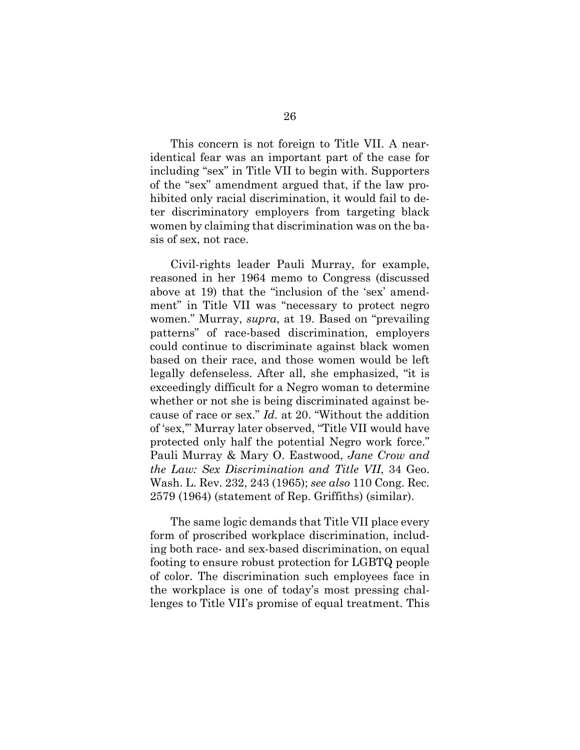This concern is not foreign to Title VII. A nearidentical fear was an important part of the case for including "sex" in Title VII to begin with. Supporters of the "sex" amendment argued that, if the law prohibited only racial discrimination, it would fail to deter discriminatory employers from targeting black women by claiming that discrimination was on the basis of sex, not race.

Civil-rights leader Pauli Murray, for example, reasoned in her 1964 memo to Congress (discussed above at 19) that the "inclusion of the 'sex' amendment" in Title VII was "necessary to protect negro women." Murray, *supra*, at 19. Based on "prevailing patterns" of race-based discrimination, employers could continue to discriminate against black women based on their race, and those women would be left legally defenseless. After all, she emphasized, "it is exceedingly difficult for a Negro woman to determine whether or not she is being discriminated against because of race or sex." *Id.* at 20. "Without the addition of 'sex,'" Murray later observed, "Title VII would have protected only half the potential Negro work force." Pauli Murray & Mary O. Eastwood, *Jane Crow and the Law: Sex Discrimination and Title VII*, 34 Geo. Wash. L. Rev. 232, 243 (1965); *see also* 110 Cong. Rec. 2579 (1964) (statement of Rep. Griffiths) (similar).

The same logic demands that Title VII place every form of proscribed workplace discrimination, including both race- and sex-based discrimination, on equal footing to ensure robust protection for LGBTQ people of color. The discrimination such employees face in the workplace is one of today's most pressing challenges to Title VII's promise of equal treatment. This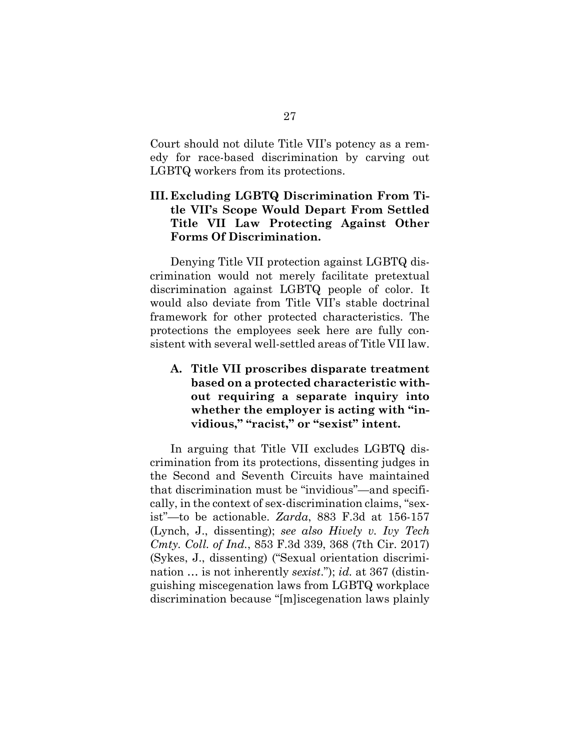Court should not dilute Title VII's potency as a remedy for race-based discrimination by carving out LGBTQ workers from its protections.

# **III. Excluding LGBTQ Discrimination From Title VII's Scope Would Depart From Settled Title VII Law Protecting Against Other Forms Of Discrimination.**

Denying Title VII protection against LGBTQ discrimination would not merely facilitate pretextual discrimination against LGBTQ people of color. It would also deviate from Title VII's stable doctrinal framework for other protected characteristics. The protections the employees seek here are fully consistent with several well-settled areas of Title VII law.

# **A. Title VII proscribes disparate treatment based on a protected characteristic without requiring a separate inquiry into whether the employer is acting with "invidious," "racist," or "sexist" intent.**

In arguing that Title VII excludes LGBTQ discrimination from its protections, dissenting judges in the Second and Seventh Circuits have maintained that discrimination must be "invidious"—and specifically, in the context of sex-discrimination claims, "sexist"—to be actionable. *Zarda*, 883 F.3d at 156-157 (Lynch, J., dissenting); *see also Hively v. Ivy Tech Cmty. Coll. of Ind.*, 853 F.3d 339, 368 (7th Cir. 2017) (Sykes, J., dissenting) ("Sexual orientation discrimination … is not inherently *sexist*."); *id.* at 367 (distinguishing miscegenation laws from LGBTQ workplace discrimination because "[m]iscegenation laws plainly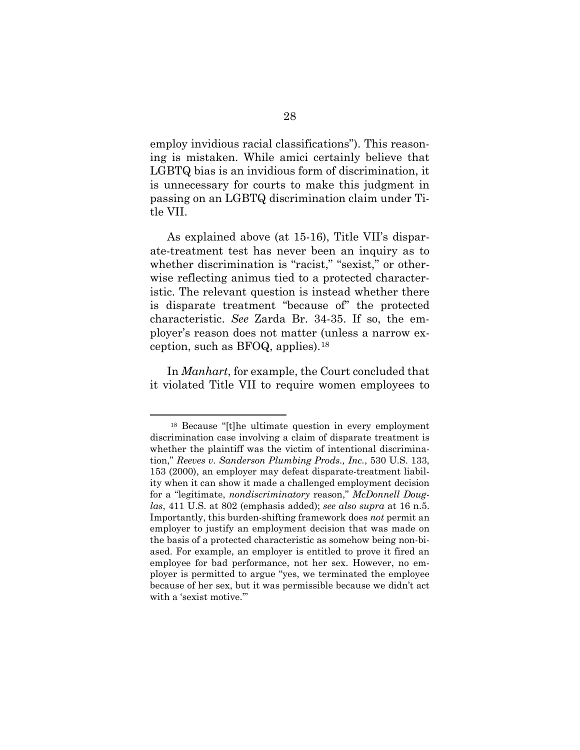employ invidious racial classifications"). This reasoning is mistaken. While amici certainly believe that LGBTQ bias is an invidious form of discrimination, it is unnecessary for courts to make this judgment in passing on an LGBTQ discrimination claim under Title VII.

As explained above (at 15-16), Title VII's disparate-treatment test has never been an inquiry as to whether discrimination is "racist," "sexist," or otherwise reflecting animus tied to a protected characteristic. The relevant question is instead whether there is disparate treatment "because of" the protected characteristic. *See* Zarda Br. 34-35. If so, the employer's reason does not matter (unless a narrow exception, such as BFOQ, applies).18

In *Manhart*, for example, the Court concluded that it violated Title VII to require women employees to

 <sup>18</sup> Because "[t]he ultimate question in every employment discrimination case involving a claim of disparate treatment is whether the plaintiff was the victim of intentional discrimination," *Reeves v. Sanderson Plumbing Prods., Inc.*, 530 U.S. 133, 153 (2000), an employer may defeat disparate-treatment liability when it can show it made a challenged employment decision for a "legitimate, *nondiscriminatory* reason," *McDonnell Douglas*, 411 U.S. at 802 (emphasis added); *see also supra* at 16 n.5. Importantly, this burden-shifting framework does *not* permit an employer to justify an employment decision that was made on the basis of a protected characteristic as somehow being non-biased. For example, an employer is entitled to prove it fired an employee for bad performance, not her sex. However, no employer is permitted to argue "yes, we terminated the employee because of her sex, but it was permissible because we didn't act with a 'sexist motive."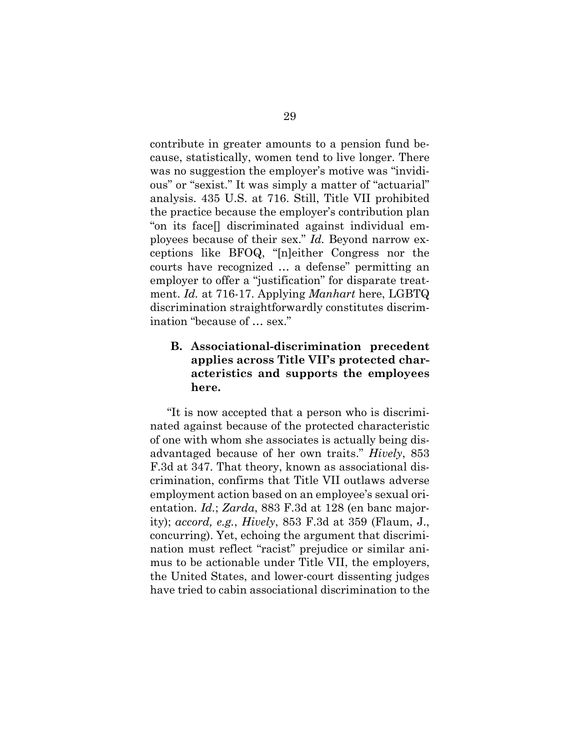contribute in greater amounts to a pension fund because, statistically, women tend to live longer. There was no suggestion the employer's motive was "invidious" or "sexist." It was simply a matter of "actuarial" analysis. 435 U.S. at 716. Still, Title VII prohibited the practice because the employer's contribution plan "on its face[] discriminated against individual employees because of their sex." *Id.* Beyond narrow exceptions like BFOQ, "[n]either Congress nor the courts have recognized … a defense" permitting an employer to offer a "justification" for disparate treatment. *Id.* at 716-17. Applying *Manhart* here, LGBTQ discrimination straightforwardly constitutes discrimination "because of … sex."

# **B. Associational-discrimination precedent applies across Title VII's protected characteristics and supports the employees here.**

"It is now accepted that a person who is discriminated against because of the protected characteristic of one with whom she associates is actually being disadvantaged because of her own traits." *Hively*, 853 F.3d at 347. That theory, known as associational discrimination, confirms that Title VII outlaws adverse employment action based on an employee's sexual orientation. *Id.*; *Zarda*, 883 F.3d at 128 (en banc majority); *accord, e.g.*, *Hively*, 853 F.3d at 359 (Flaum, J., concurring). Yet, echoing the argument that discrimination must reflect "racist" prejudice or similar animus to be actionable under Title VII, the employers, the United States, and lower-court dissenting judges have tried to cabin associational discrimination to the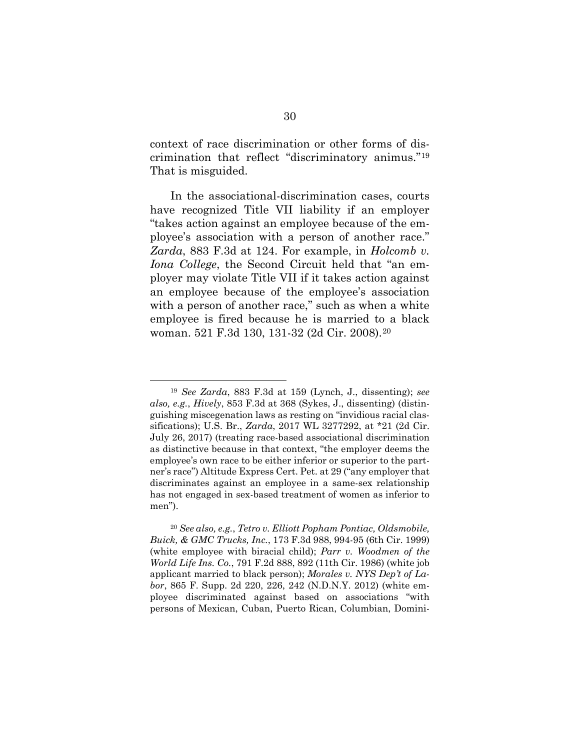context of race discrimination or other forms of discrimination that reflect "discriminatory animus."19 That is misguided.

In the associational-discrimination cases, courts have recognized Title VII liability if an employer "takes action against an employee because of the employee's association with a person of another race." *Zarda*, 883 F.3d at 124. For example, in *Holcomb v. Iona College*, the Second Circuit held that "an employer may violate Title VII if it takes action against an employee because of the employee's association with a person of another race," such as when a white employee is fired because he is married to a black woman. 521 F.3d 130, 131-32 (2d Cir. 2008).20

 <sup>19</sup> *See Zarda*, 883 F.3d at 159 (Lynch, J., dissenting); *see also, e.g.*, *Hively*, 853 F.3d at 368 (Sykes, J., dissenting) (distinguishing miscegenation laws as resting on "invidious racial classifications); U.S. Br., *Zarda*, 2017 WL 3277292, at \*21 (2d Cir. July 26, 2017) (treating race-based associational discrimination as distinctive because in that context, "the employer deems the employee's own race to be either inferior or superior to the partner's race") Altitude Express Cert. Pet. at 29 ("any employer that discriminates against an employee in a same-sex relationship has not engaged in sex-based treatment of women as inferior to men").

<sup>20</sup> *See also, e.g.*, *Tetro v. Elliott Popham Pontiac, Oldsmobile, Buick, & GMC Trucks, Inc.*, 173 F.3d 988, 994-95 (6th Cir. 1999) (white employee with biracial child); *Parr v. Woodmen of the World Life Ins. Co.*, 791 F.2d 888, 892 (11th Cir. 1986) (white job applicant married to black person); *Morales v. NYS Dep't of Labor*, 865 F. Supp. 2d 220, 226, 242 (N.D.N.Y. 2012) (white employee discriminated against based on associations "with persons of Mexican, Cuban, Puerto Rican, Columbian, Domini-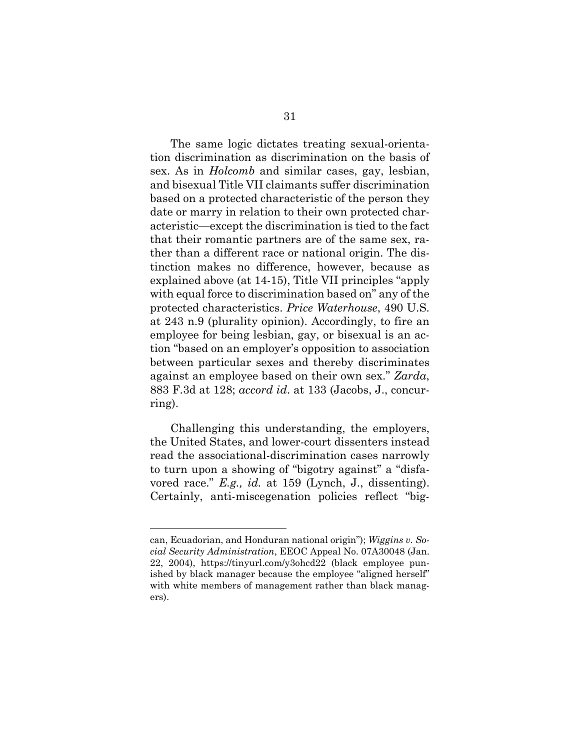The same logic dictates treating sexual-orientation discrimination as discrimination on the basis of sex. As in *Holcomb* and similar cases, gay, lesbian, and bisexual Title VII claimants suffer discrimination based on a protected characteristic of the person they date or marry in relation to their own protected characteristic—except the discrimination is tied to the fact that their romantic partners are of the same sex, rather than a different race or national origin. The distinction makes no difference, however, because as explained above (at 14-15), Title VII principles "apply with equal force to discrimination based on" any of the protected characteristics. *Price Waterhouse*, 490 U.S. at 243 n.9 (plurality opinion). Accordingly, to fire an employee for being lesbian, gay, or bisexual is an action "based on an employer's opposition to association between particular sexes and thereby discriminates against an employee based on their own sex." *Zarda*, 883 F.3d at 128; *accord id*. at 133 (Jacobs, J., concurring).

Challenging this understanding, the employers, the United States, and lower-court dissenters instead read the associational-discrimination cases narrowly to turn upon a showing of "bigotry against" a "disfavored race." *E.g., id.* at 159 (Lynch, J., dissenting). Certainly, anti-miscegenation policies reflect "big-

 $\overline{a}$ 

can, Ecuadorian, and Honduran national origin"); *Wiggins v. Social Security Administration*, EEOC Appeal No. 07A30048 (Jan. 22, 2004), https://tinyurl.com/y3ohcd22 (black employee punished by black manager because the employee "aligned herself" with white members of management rather than black managers).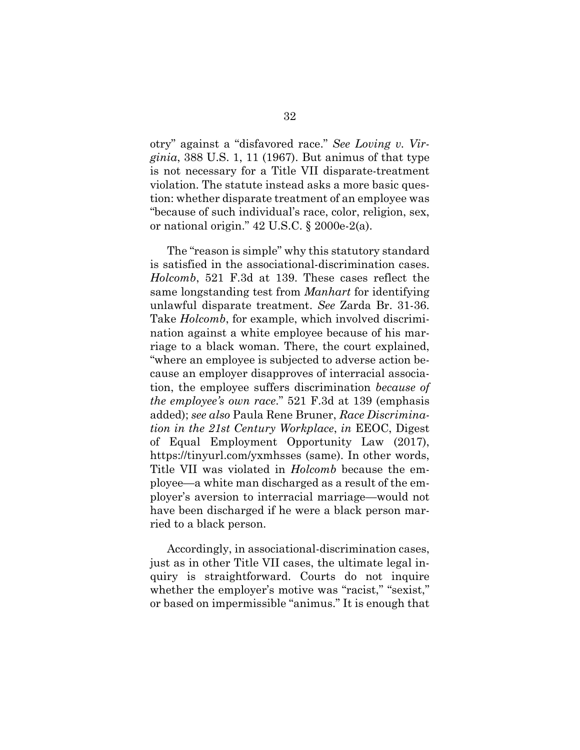otry" against a "disfavored race." *See Loving v. Virginia*, 388 U.S. 1, 11 (1967). But animus of that type is not necessary for a Title VII disparate-treatment violation. The statute instead asks a more basic question: whether disparate treatment of an employee was "because of such individual's race, color, religion, sex, or national origin." 42 U.S.C. § 2000e-2(a).

The "reason is simple" why this statutory standard is satisfied in the associational-discrimination cases. *Holcomb*, 521 F.3d at 139. These cases reflect the same longstanding test from *Manhart* for identifying unlawful disparate treatment. *See* Zarda Br. 31-36. Take *Holcomb*, for example, which involved discrimination against a white employee because of his marriage to a black woman. There, the court explained, "where an employee is subjected to adverse action because an employer disapproves of interracial association, the employee suffers discrimination *because of the employee's own race*." 521 F.3d at 139 (emphasis added); *see also* Paula Rene Bruner, *Race Discrimination in the 21st Century Workplace*, *in* EEOC, Digest of Equal Employment Opportunity Law (2017), https://tinyurl.com/yxmhsses (same). In other words, Title VII was violated in *Holcomb* because the employee—a white man discharged as a result of the employer's aversion to interracial marriage—would not have been discharged if he were a black person married to a black person.

Accordingly, in associational-discrimination cases, just as in other Title VII cases, the ultimate legal inquiry is straightforward. Courts do not inquire whether the employer's motive was "racist," "sexist," or based on impermissible "animus." It is enough that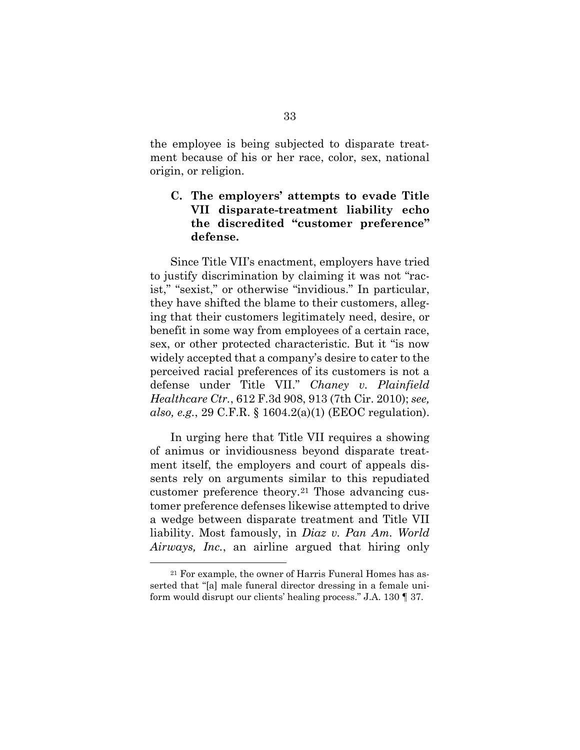the employee is being subjected to disparate treatment because of his or her race, color, sex, national origin, or religion.

# **C. The employers' attempts to evade Title VII disparate-treatment liability echo the discredited "customer preference" defense.**

Since Title VII's enactment, employers have tried to justify discrimination by claiming it was not "racist," "sexist," or otherwise "invidious." In particular, they have shifted the blame to their customers, alleging that their customers legitimately need, desire, or benefit in some way from employees of a certain race, sex, or other protected characteristic. But it "is now widely accepted that a company's desire to cater to the perceived racial preferences of its customers is not a defense under Title VII." *Chaney v. Plainfield Healthcare Ctr.*, 612 F.3d 908, 913 (7th Cir. 2010); *see, also, e.g.*, 29 C.F.R. § 1604.2(a)(1) (EEOC regulation).

In urging here that Title VII requires a showing of animus or invidiousness beyond disparate treatment itself, the employers and court of appeals dissents rely on arguments similar to this repudiated customer preference theory.21 Those advancing customer preference defenses likewise attempted to drive a wedge between disparate treatment and Title VII liability. Most famously, in *Diaz v. Pan Am. World Airways, Inc.*, an airline argued that hiring only

 <sup>21</sup> For example, the owner of Harris Funeral Homes has asserted that "[a] male funeral director dressing in a female uniform would disrupt our clients' healing process." J.A. 130 ¶ 37.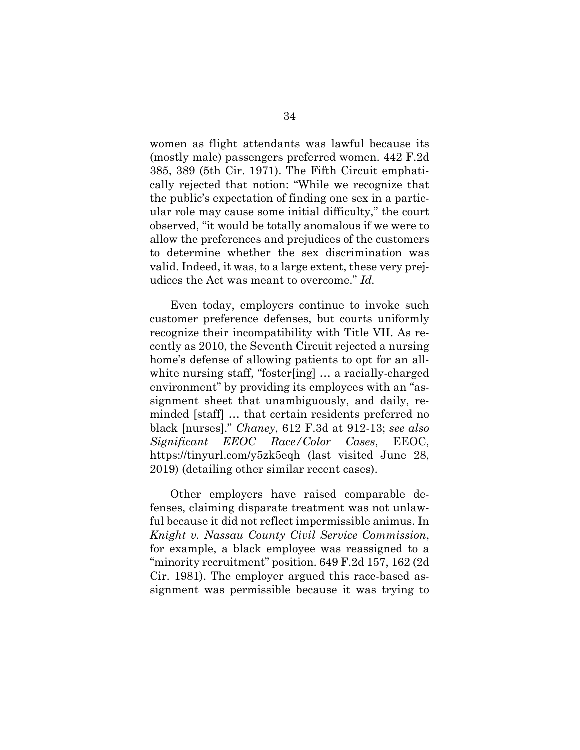women as flight attendants was lawful because its (mostly male) passengers preferred women. 442 F.2d 385, 389 (5th Cir. 1971). The Fifth Circuit emphatically rejected that notion: "While we recognize that the public's expectation of finding one sex in a particular role may cause some initial difficulty," the court observed, "it would be totally anomalous if we were to allow the preferences and prejudices of the customers to determine whether the sex discrimination was valid. Indeed, it was, to a large extent, these very prejudices the Act was meant to overcome." *Id.*

Even today, employers continue to invoke such customer preference defenses, but courts uniformly recognize their incompatibility with Title VII. As recently as 2010, the Seventh Circuit rejected a nursing home's defense of allowing patients to opt for an allwhite nursing staff, "foster[ing] … a racially-charged environment" by providing its employees with an "assignment sheet that unambiguously, and daily, reminded [staff] … that certain residents preferred no black [nurses]." *Chaney*, 612 F.3d at 912-13; *see also Significant EEOC Race/Color Cases*, EEOC, https://tinyurl.com/y5zk5eqh (last visited June 28, 2019) (detailing other similar recent cases).

Other employers have raised comparable defenses, claiming disparate treatment was not unlawful because it did not reflect impermissible animus. In *Knight v. Nassau County Civil Service Commission*, for example, a black employee was reassigned to a "minority recruitment" position. 649 F.2d 157, 162 (2d Cir. 1981). The employer argued this race-based assignment was permissible because it was trying to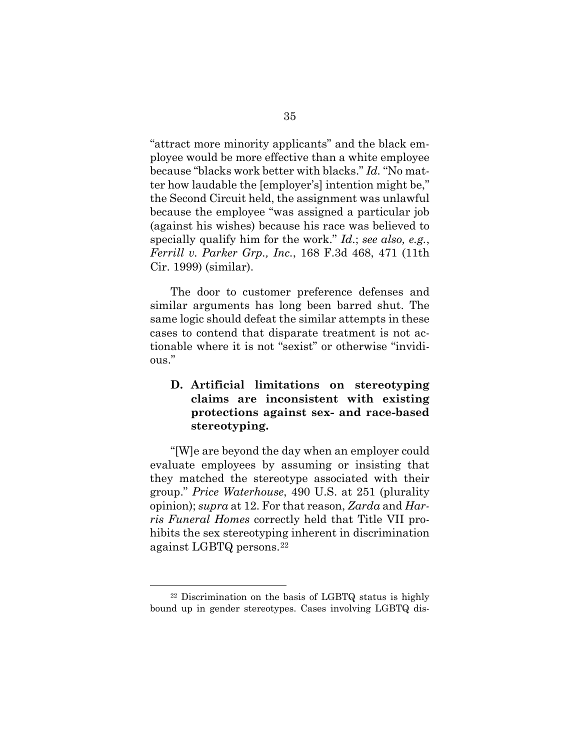"attract more minority applicants" and the black employee would be more effective than a white employee because "blacks work better with blacks." *Id.* "No matter how laudable the [employer's] intention might be," the Second Circuit held, the assignment was unlawful because the employee "was assigned a particular job (against his wishes) because his race was believed to specially qualify him for the work." *Id*.; *see also, e.g.*, *Ferrill v. Parker Grp., Inc.*, 168 F.3d 468, 471 (11th Cir. 1999) (similar).

The door to customer preference defenses and similar arguments has long been barred shut. The same logic should defeat the similar attempts in these cases to contend that disparate treatment is not actionable where it is not "sexist" or otherwise "invidious."

### **D. Artificial limitations on stereotyping claims are inconsistent with existing protections against sex- and race-based stereotyping.**

"[W]e are beyond the day when an employer could evaluate employees by assuming or insisting that they matched the stereotype associated with their group." *Price Waterhouse*, 490 U.S. at 251 (plurality opinion); *supra* at 12. For that reason, *Zarda* and *Harris Funeral Homes* correctly held that Title VII prohibits the sex stereotyping inherent in discrimination against LGBTQ persons.22

 <sup>22</sup> Discrimination on the basis of LGBTQ status is highly bound up in gender stereotypes. Cases involving LGBTQ dis-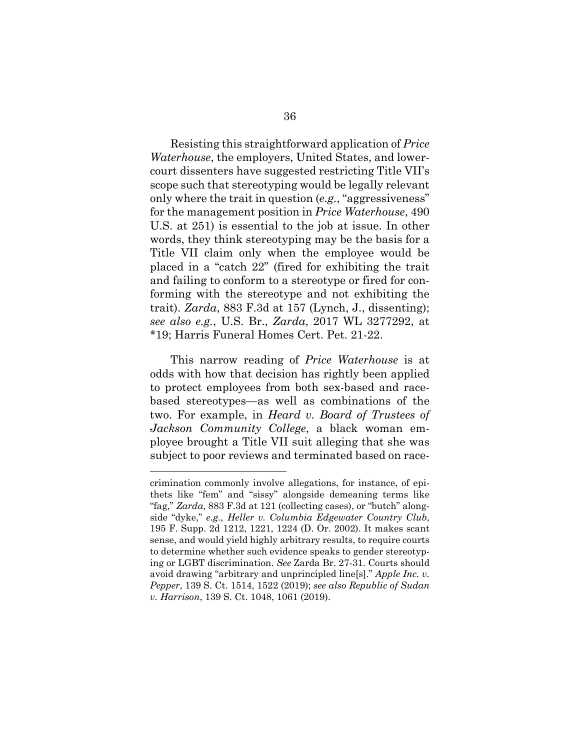Resisting this straightforward application of *Price Waterhouse*, the employers, United States, and lowercourt dissenters have suggested restricting Title VII's scope such that stereotyping would be legally relevant only where the trait in question (*e.g.*, "aggressiveness" for the management position in *Price Waterhouse*, 490 U.S. at 251) is essential to the job at issue. In other words, they think stereotyping may be the basis for a Title VII claim only when the employee would be placed in a "catch 22" (fired for exhibiting the trait and failing to conform to a stereotype or fired for conforming with the stereotype and not exhibiting the trait). *Zarda*, 883 F.3d at 157 (Lynch, J., dissenting); *see also e.g.*, U.S. Br., *Zarda*, 2017 WL 3277292, at \*19; Harris Funeral Homes Cert. Pet. 21-22.

This narrow reading of *Price Waterhouse* is at odds with how that decision has rightly been applied to protect employees from both sex-based and racebased stereotypes—as well as combinations of the two. For example, in *Heard v. Board of Trustees of Jackson Community College*, a black woman employee brought a Title VII suit alleging that she was subject to poor reviews and terminated based on race-

l

crimination commonly involve allegations, for instance, of epithets like "fem" and "sissy" alongside demeaning terms like "fag," *Zarda*, 883 F.3d at 121 (collecting cases), or "butch" alongside "dyke," *e.g., Heller v. Columbia Edgewater Country Club*, 195 F. Supp. 2d 1212, 1221, 1224 (D. Or. 2002). It makes scant sense, and would yield highly arbitrary results, to require courts to determine whether such evidence speaks to gender stereotyping or LGBT discrimination. *See* Zarda Br. 27-31. Courts should avoid drawing "arbitrary and unprincipled line[s]." *Apple Inc. v. Pepper*, 139 S. Ct. 1514, 1522 (2019); *see also Republic of Sudan v. Harrison*, 139 S. Ct. 1048, 1061 (2019).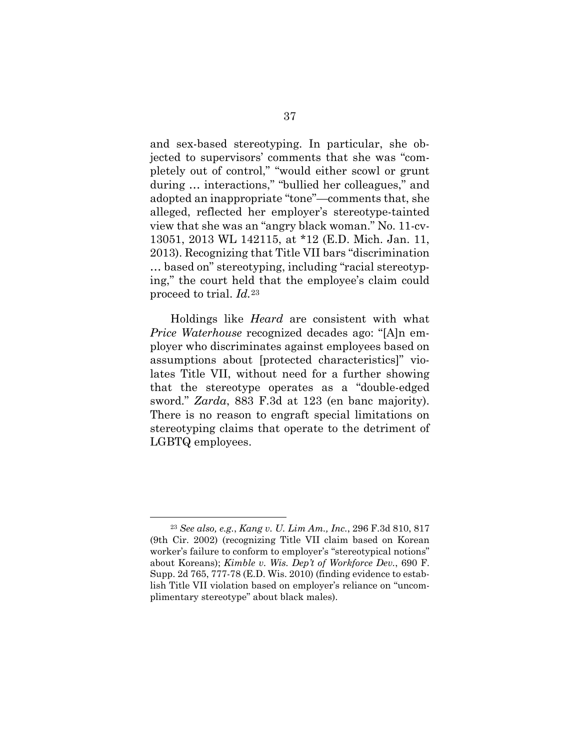and sex-based stereotyping. In particular, she objected to supervisors' comments that she was "completely out of control," "would either scowl or grunt during … interactions," "bullied her colleagues," and adopted an inappropriate "tone"—comments that, she alleged, reflected her employer's stereotype-tainted view that she was an "angry black woman." No. 11-cv-13051, 2013 WL 142115, at \*12 (E.D. Mich. Jan. 11, 2013). Recognizing that Title VII bars "discrimination … based on" stereotyping, including "racial stereotyping," the court held that the employee's claim could proceed to trial. *Id.*<sup>23</sup>

Holdings like *Heard* are consistent with what *Price Waterhouse* recognized decades ago: "[A]n employer who discriminates against employees based on assumptions about [protected characteristics]" violates Title VII, without need for a further showing that the stereotype operates as a "double-edged sword." *Zarda*, 883 F.3d at 123 (en banc majority). There is no reason to engraft special limitations on stereotyping claims that operate to the detriment of LGBTQ employees.

 <sup>23</sup> *See also, e.g.*, *Kang v. U. Lim Am., Inc.*, 296 F.3d 810, 817 (9th Cir. 2002) (recognizing Title VII claim based on Korean worker's failure to conform to employer's "stereotypical notions" about Koreans); *Kimble v. Wis. Dep't of Workforce Dev.*, 690 F. Supp. 2d 765, 777-78 (E.D. Wis. 2010) (finding evidence to establish Title VII violation based on employer's reliance on "uncomplimentary stereotype" about black males).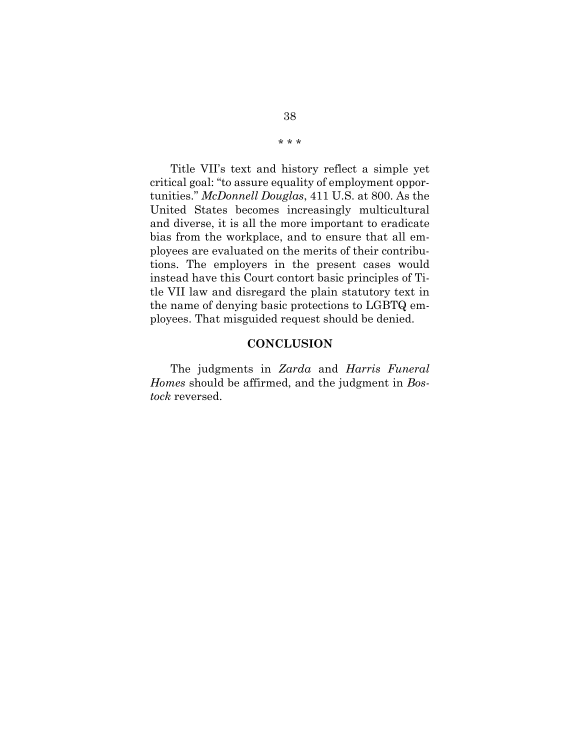Title VII's text and history reflect a simple yet critical goal: "to assure equality of employment opportunities." *McDonnell Douglas*, 411 U.S. at 800. As the United States becomes increasingly multicultural and diverse, it is all the more important to eradicate bias from the workplace, and to ensure that all employees are evaluated on the merits of their contributions. The employers in the present cases would instead have this Court contort basic principles of Title VII law and disregard the plain statutory text in the name of denying basic protections to LGBTQ employees. That misguided request should be denied.

#### **CONCLUSION**

The judgments in *Zarda* and *Harris Funeral Homes* should be affirmed, and the judgment in *Bostock* reversed.

\* \* \*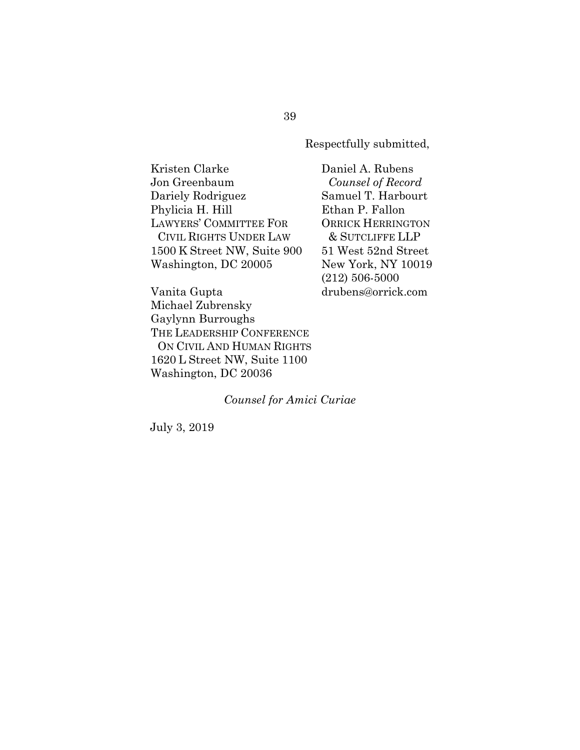Respectfully submitted,

Kristen Clarke Jon Greenbaum Dariely Rodriguez Phylicia H. Hill LAWYERS' COMMITTEE FOR CIVIL RIGHTS UNDER LAW 1500 K Street NW, Suite 900 Washington, DC 20005

Daniel A. Rubens *Counsel of Record* Samuel T. Harbourt Ethan P. Fallon ORRICK HERRINGTON & SUTCLIFFE LLP 51 West 52nd Street New York, NY 10019 (212) 506-5000 drubens@orrick.com

Vanita Gupta Michael Zubrensky Gaylynn Burroughs THE LEADERSHIP CONFERENCE ON CIVIL AND HUMAN RIGHTS 1620 L Street NW, Suite 1100 Washington, DC 20036

*Counsel for Amici Curiae*

July 3, 2019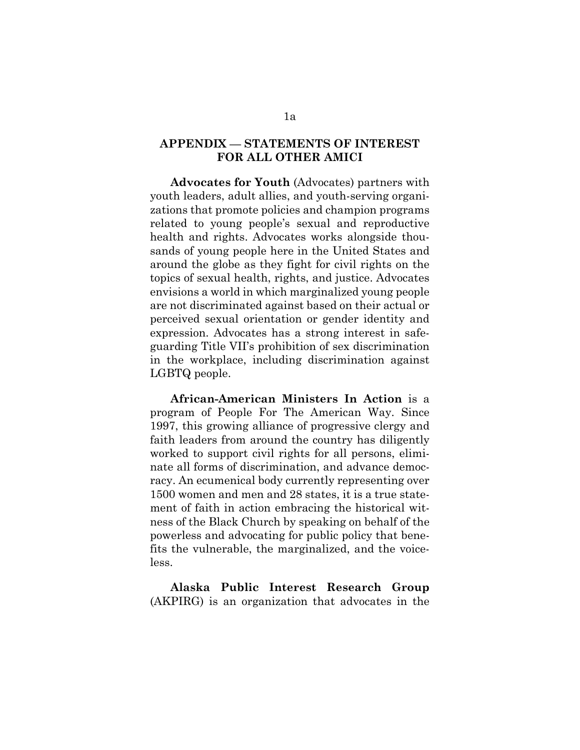#### **APPENDIX — STATEMENTS OF INTEREST FOR ALL OTHER AMICI**

**Advocates for Youth** (Advocates) partners with youth leaders, adult allies, and youth-serving organizations that promote policies and champion programs related to young people's sexual and reproductive health and rights. Advocates works alongside thousands of young people here in the United States and around the globe as they fight for civil rights on the topics of sexual health, rights, and justice. Advocates envisions a world in which marginalized young people are not discriminated against based on their actual or perceived sexual orientation or gender identity and expression. Advocates has a strong interest in safeguarding Title VII's prohibition of sex discrimination in the workplace, including discrimination against LGBTQ people.

**African-American Ministers In Action** is a program of People For The American Way. Since 1997, this growing alliance of progressive clergy and faith leaders from around the country has diligently worked to support civil rights for all persons, eliminate all forms of discrimination, and advance democracy. An ecumenical body currently representing over 1500 women and men and 28 states, it is a true statement of faith in action embracing the historical witness of the Black Church by speaking on behalf of the powerless and advocating for public policy that benefits the vulnerable, the marginalized, and the voiceless.

**Alaska Public Interest Research Group** (AKPIRG) is an organization that advocates in the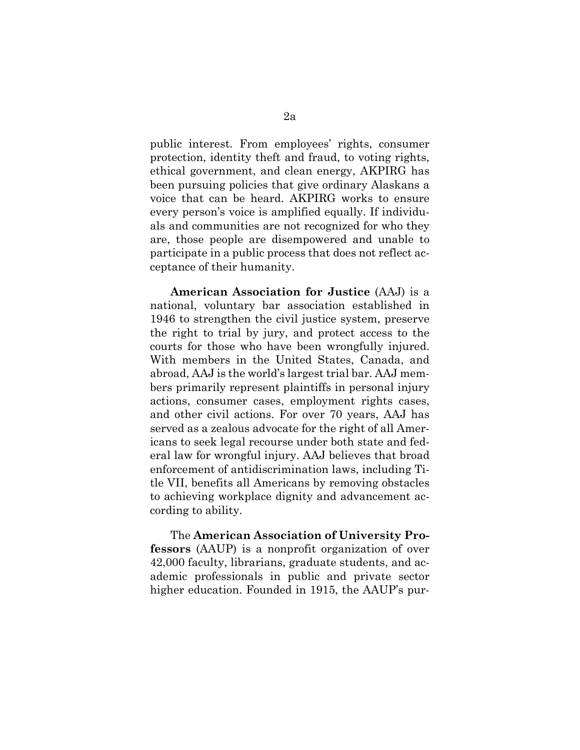public interest. From employees' rights, consumer protection, identity theft and fraud, to voting rights, ethical government, and clean energy, AKPIRG has been pursuing policies that give ordinary Alaskans a voice that can be heard. AKPIRG works to ensure every person's voice is amplified equally. If individuals and communities are not recognized for who they are, those people are disempowered and unable to participate in a public process that does not reflect acceptance of their humanity.

**American Association for Justice** (AAJ) is a national, voluntary bar association established in 1946 to strengthen the civil justice system, preserve the right to trial by jury, and protect access to the courts for those who have been wrongfully injured. With members in the United States, Canada, and abroad, AAJ is the world's largest trial bar. AAJ members primarily represent plaintiffs in personal injury actions, consumer cases, employment rights cases, and other civil actions. For over 70 years, AAJ has served as a zealous advocate for the right of all Americans to seek legal recourse under both state and federal law for wrongful injury. AAJ believes that broad enforcement of antidiscrimination laws, including Title VII, benefits all Americans by removing obstacles to achieving workplace dignity and advancement according to ability.

The **American Association of University Professors** (AAUP) is a nonprofit organization of over 42,000 faculty, librarians, graduate students, and academic professionals in public and private sector higher education. Founded in 1915, the AAUP's pur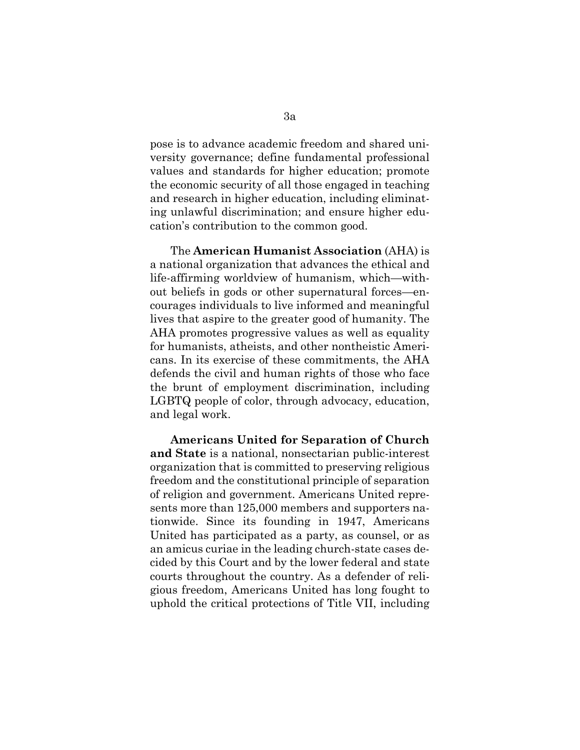pose is to advance academic freedom and shared university governance; define fundamental professional values and standards for higher education; promote the economic security of all those engaged in teaching and research in higher education, including eliminating unlawful discrimination; and ensure higher education's contribution to the common good.

The **American Humanist Association** (AHA) is a national organization that advances the ethical and life-affirming worldview of humanism, which—without beliefs in gods or other supernatural forces—encourages individuals to live informed and meaningful lives that aspire to the greater good of humanity. The AHA promotes progressive values as well as equality for humanists, atheists, and other nontheistic Americans. In its exercise of these commitments, the AHA defends the civil and human rights of those who face the brunt of employment discrimination, including LGBTQ people of color, through advocacy, education, and legal work.

**Americans United for Separation of Church and State** is a national, nonsectarian public-interest organization that is committed to preserving religious freedom and the constitutional principle of separation of religion and government. Americans United represents more than 125,000 members and supporters nationwide. Since its founding in 1947, Americans United has participated as a party, as counsel, or as an amicus curiae in the leading church-state cases decided by this Court and by the lower federal and state courts throughout the country. As a defender of religious freedom, Americans United has long fought to uphold the critical protections of Title VII, including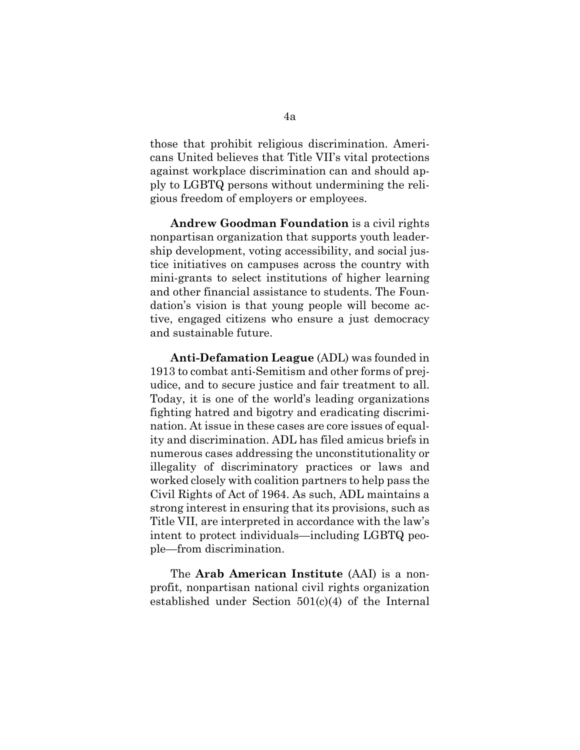those that prohibit religious discrimination. Americans United believes that Title VII's vital protections against workplace discrimination can and should apply to LGBTQ persons without undermining the religious freedom of employers or employees.

**Andrew Goodman Foundation** is a civil rights nonpartisan organization that supports youth leadership development, voting accessibility, and social justice initiatives on campuses across the country with mini-grants to select institutions of higher learning and other financial assistance to students. The Foundation's vision is that young people will become active, engaged citizens who ensure a just democracy and sustainable future.

**Anti-Defamation League** (ADL) was founded in 1913 to combat anti-Semitism and other forms of prejudice, and to secure justice and fair treatment to all. Today, it is one of the world's leading organizations fighting hatred and bigotry and eradicating discrimination. At issue in these cases are core issues of equality and discrimination. ADL has filed amicus briefs in numerous cases addressing the unconstitutionality or illegality of discriminatory practices or laws and worked closely with coalition partners to help pass the Civil Rights of Act of 1964. As such, ADL maintains a strong interest in ensuring that its provisions, such as Title VII, are interpreted in accordance with the law's intent to protect individuals—including LGBTQ people—from discrimination.

The **Arab American Institute** (AAI) is a nonprofit, nonpartisan national civil rights organization established under Section 501(c)(4) of the Internal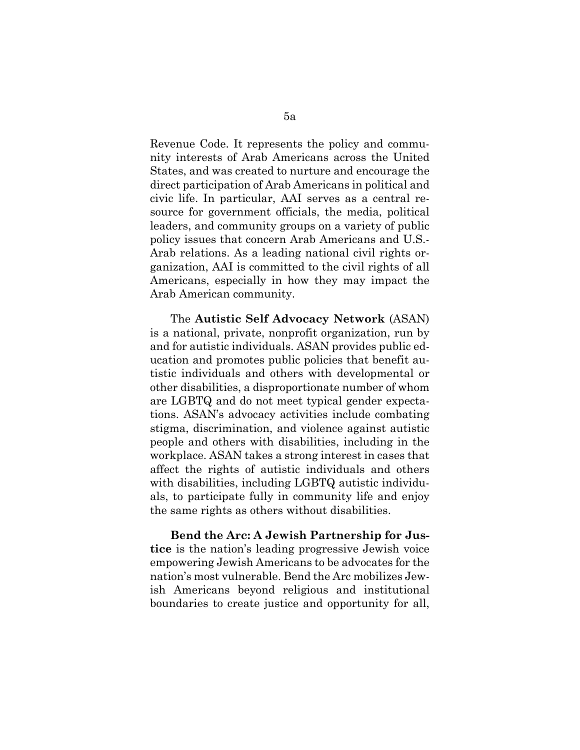Revenue Code. It represents the policy and community interests of Arab Americans across the United States, and was created to nurture and encourage the direct participation of Arab Americans in political and civic life. In particular, AAI serves as a central resource for government officials, the media, political leaders, and community groups on a variety of public policy issues that concern Arab Americans and U.S.- Arab relations. As a leading national civil rights organization, AAI is committed to the civil rights of all Americans, especially in how they may impact the Arab American community.

The **Autistic Self Advocacy Network** (ASAN) is a national, private, nonprofit organization, run by and for autistic individuals. ASAN provides public education and promotes public policies that benefit autistic individuals and others with developmental or other disabilities, a disproportionate number of whom are LGBTQ and do not meet typical gender expectations. ASAN's advocacy activities include combating stigma, discrimination, and violence against autistic people and others with disabilities, including in the workplace. ASAN takes a strong interest in cases that affect the rights of autistic individuals and others with disabilities, including LGBTQ autistic individuals, to participate fully in community life and enjoy the same rights as others without disabilities.

**Bend the Arc: A Jewish Partnership for Justice** is the nation's leading progressive Jewish voice empowering Jewish Americans to be advocates for the nation's most vulnerable. Bend the Arc mobilizes Jewish Americans beyond religious and institutional boundaries to create justice and opportunity for all,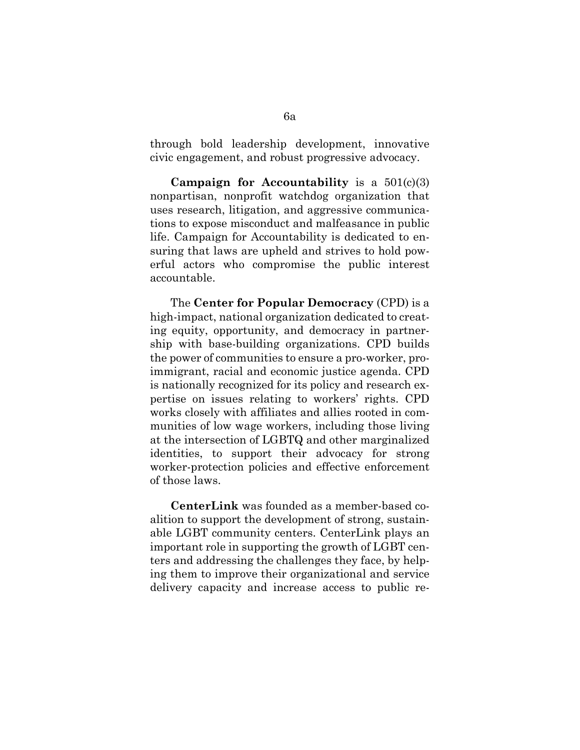through bold leadership development, innovative civic engagement, and robust progressive advocacy.

**Campaign for Accountability** is a 501(c)(3) nonpartisan, nonprofit watchdog organization that uses research, litigation, and aggressive communications to expose misconduct and malfeasance in public life. Campaign for Accountability is dedicated to ensuring that laws are upheld and strives to hold powerful actors who compromise the public interest accountable.

The **Center for Popular Democracy** (CPD) is a high-impact, national organization dedicated to creating equity, opportunity, and democracy in partnership with base-building organizations. CPD builds the power of communities to ensure a pro-worker, proimmigrant, racial and economic justice agenda. CPD is nationally recognized for its policy and research expertise on issues relating to workers' rights. CPD works closely with affiliates and allies rooted in communities of low wage workers, including those living at the intersection of LGBTQ and other marginalized identities, to support their advocacy for strong worker-protection policies and effective enforcement of those laws.

**CenterLink** was founded as a member-based coalition to support the development of strong, sustainable LGBT community centers. CenterLink plays an important role in supporting the growth of LGBT centers and addressing the challenges they face, by helping them to improve their organizational and service delivery capacity and increase access to public re-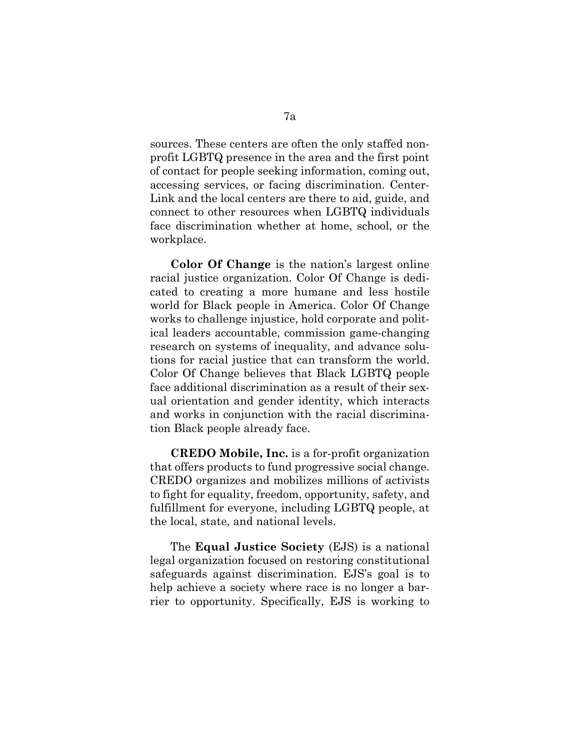sources. These centers are often the only staffed nonprofit LGBTQ presence in the area and the first point of contact for people seeking information, coming out, accessing services, or facing discrimination. Center-Link and the local centers are there to aid, guide, and connect to other resources when LGBTQ individuals face discrimination whether at home, school, or the workplace.

**Color Of Change** is the nation's largest online racial justice organization. Color Of Change is dedicated to creating a more humane and less hostile world for Black people in America. Color Of Change works to challenge injustice, hold corporate and political leaders accountable, commission game-changing research on systems of inequality, and advance solutions for racial justice that can transform the world. Color Of Change believes that Black LGBTQ people face additional discrimination as a result of their sexual orientation and gender identity, which interacts and works in conjunction with the racial discrimination Black people already face.

**CREDO Mobile, Inc.** is a for-profit organization that offers products to fund progressive social change. CREDO organizes and mobilizes millions of activists to fight for equality, freedom, opportunity, safety, and fulfillment for everyone, including LGBTQ people, at the local, state, and national levels.

The **Equal Justice Society** (EJS) is a national legal organization focused on restoring constitutional safeguards against discrimination. EJS's goal is to help achieve a society where race is no longer a barrier to opportunity. Specifically, EJS is working to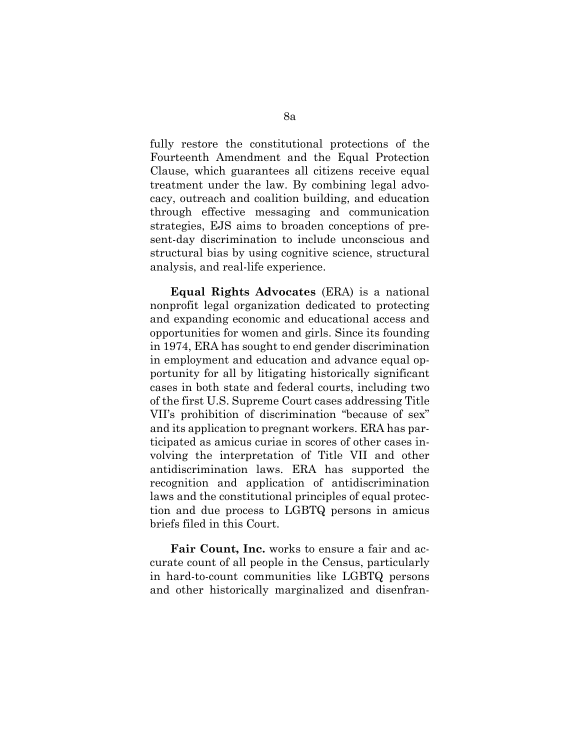fully restore the constitutional protections of the Fourteenth Amendment and the Equal Protection Clause, which guarantees all citizens receive equal treatment under the law. By combining legal advocacy, outreach and coalition building, and education through effective messaging and communication strategies, EJS aims to broaden conceptions of present-day discrimination to include unconscious and structural bias by using cognitive science, structural analysis, and real-life experience.

**Equal Rights Advocates** (ERA) is a national nonprofit legal organization dedicated to protecting and expanding economic and educational access and opportunities for women and girls. Since its founding in 1974, ERA has sought to end gender discrimination in employment and education and advance equal opportunity for all by litigating historically significant cases in both state and federal courts, including two of the first U.S. Supreme Court cases addressing Title VII's prohibition of discrimination "because of sex" and its application to pregnant workers. ERA has participated as amicus curiae in scores of other cases involving the interpretation of Title VII and other antidiscrimination laws. ERA has supported the recognition and application of antidiscrimination laws and the constitutional principles of equal protection and due process to LGBTQ persons in amicus briefs filed in this Court.

Fair Count, Inc. works to ensure a fair and accurate count of all people in the Census, particularly in hard-to-count communities like LGBTQ persons and other historically marginalized and disenfran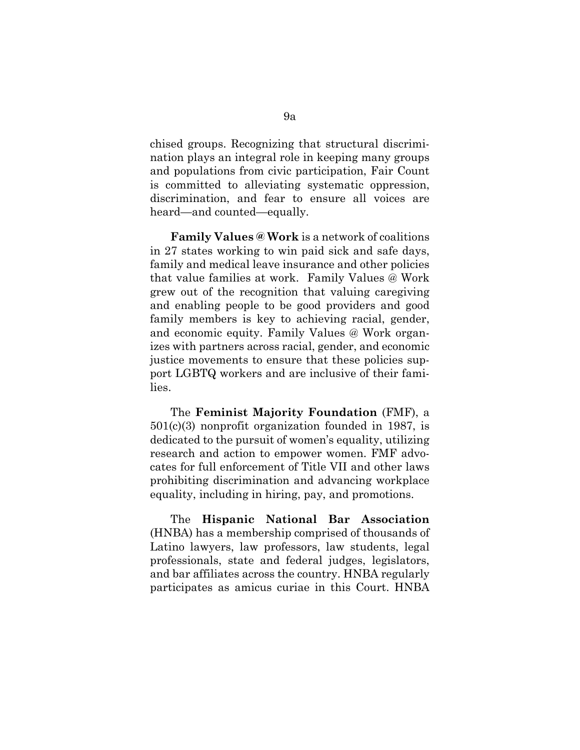chised groups. Recognizing that structural discrimination plays an integral role in keeping many groups and populations from civic participation, Fair Count is committed to alleviating systematic oppression, discrimination, and fear to ensure all voices are heard—and counted—equally.

**Family Values @ Work** is a network of coalitions in 27 states working to win paid sick and safe days, family and medical leave insurance and other policies that value families at work. Family Values @ Work grew out of the recognition that valuing caregiving and enabling people to be good providers and good family members is key to achieving racial, gender, and economic equity. Family Values @ Work organizes with partners across racial, gender, and economic justice movements to ensure that these policies support LGBTQ workers and are inclusive of their families.

The **Feminist Majority Foundation** (FMF), a 501(c)(3) nonprofit organization founded in 1987, is dedicated to the pursuit of women's equality, utilizing research and action to empower women. FMF advocates for full enforcement of Title VII and other laws prohibiting discrimination and advancing workplace equality, including in hiring, pay, and promotions.

The **Hispanic National Bar Association** (HNBA) has a membership comprised of thousands of Latino lawyers, law professors, law students, legal professionals, state and federal judges, legislators, and bar affiliates across the country. HNBA regularly participates as amicus curiae in this Court. HNBA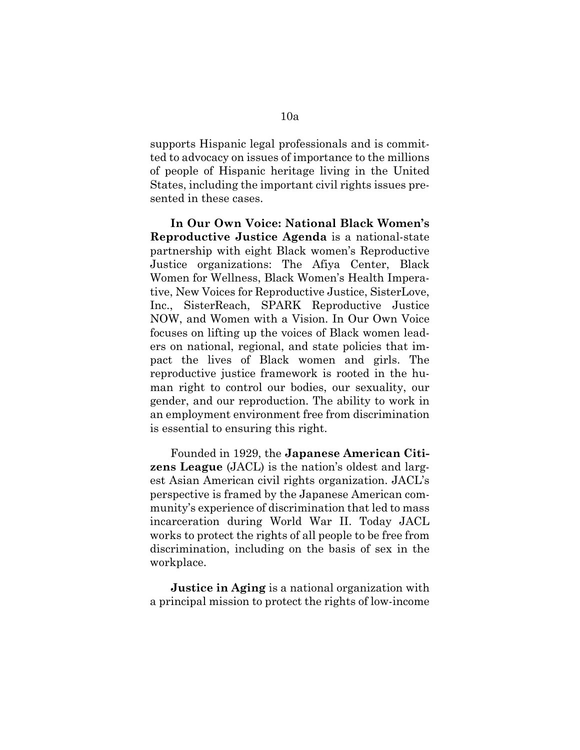supports Hispanic legal professionals and is committed to advocacy on issues of importance to the millions of people of Hispanic heritage living in the United States, including the important civil rights issues presented in these cases.

**In Our Own Voice: National Black Women's Reproductive Justice Agenda** is a national-state partnership with eight Black women's Reproductive Justice organizations: The Afiya Center, Black Women for Wellness, Black Women's Health Imperative, New Voices for Reproductive Justice, SisterLove, Inc., SisterReach, SPARK Reproductive Justice NOW, and Women with a Vision. In Our Own Voice focuses on lifting up the voices of Black women leaders on national, regional, and state policies that impact the lives of Black women and girls. The reproductive justice framework is rooted in the human right to control our bodies, our sexuality, our gender, and our reproduction. The ability to work in an employment environment free from discrimination is essential to ensuring this right.

Founded in 1929, the **Japanese American Citizens League** (JACL) is the nation's oldest and largest Asian American civil rights organization. JACL's perspective is framed by the Japanese American community's experience of discrimination that led to mass incarceration during World War II. Today JACL works to protect the rights of all people to be free from discrimination, including on the basis of sex in the workplace.

**Justice in Aging** is a national organization with a principal mission to protect the rights of low-income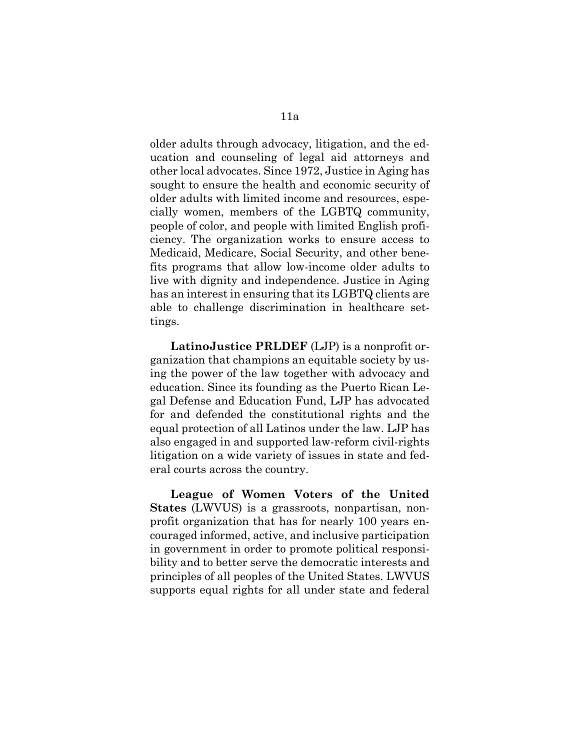older adults through advocacy, litigation, and the education and counseling of legal aid attorneys and other local advocates. Since 1972, Justice in Aging has sought to ensure the health and economic security of older adults with limited income and resources, especially women, members of the LGBTQ community, people of color, and people with limited English proficiency. The organization works to ensure access to Medicaid, Medicare, Social Security, and other benefits programs that allow low-income older adults to live with dignity and independence. Justice in Aging has an interest in ensuring that its LGBTQ clients are able to challenge discrimination in healthcare settings.

**LatinoJustice PRLDEF** (LJP) is a nonprofit organization that champions an equitable society by using the power of the law together with advocacy and education. Since its founding as the Puerto Rican Legal Defense and Education Fund, LJP has advocated for and defended the constitutional rights and the equal protection of all Latinos under the law. LJP has also engaged in and supported law-reform civil-rights litigation on a wide variety of issues in state and federal courts across the country.

**League of Women Voters of the United States** (LWVUS) is a grassroots, nonpartisan, nonprofit organization that has for nearly 100 years encouraged informed, active, and inclusive participation in government in order to promote political responsibility and to better serve the democratic interests and principles of all peoples of the United States. LWVUS supports equal rights for all under state and federal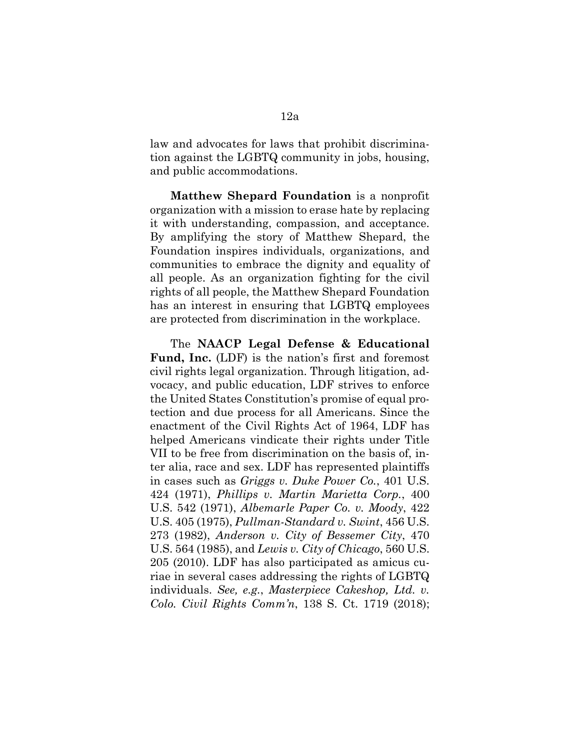law and advocates for laws that prohibit discrimination against the LGBTQ community in jobs, housing, and public accommodations.

**Matthew Shepard Foundation** is a nonprofit organization with a mission to erase hate by replacing it with understanding, compassion, and acceptance. By amplifying the story of Matthew Shepard, the Foundation inspires individuals, organizations, and communities to embrace the dignity and equality of all people. As an organization fighting for the civil rights of all people, the Matthew Shepard Foundation has an interest in ensuring that LGBTQ employees are protected from discrimination in the workplace.

The **NAACP Legal Defense & Educational Fund, Inc.** (LDF) is the nation's first and foremost civil rights legal organization. Through litigation, advocacy, and public education, LDF strives to enforce the United States Constitution's promise of equal protection and due process for all Americans. Since the enactment of the Civil Rights Act of 1964, LDF has helped Americans vindicate their rights under Title VII to be free from discrimination on the basis of, inter alia, race and sex. LDF has represented plaintiffs in cases such as *Griggs v. Duke Power Co.*, 401 U.S. 424 (1971), *Phillips v. Martin Marietta Corp.*, 400 U.S. 542 (1971), *Albemarle Paper Co. v. Moody*, 422 U.S. 405 (1975), *Pullman-Standard v. Swint*, 456 U.S. 273 (1982), *Anderson v. City of Bessemer City*, 470 U.S. 564 (1985), and *Lewis v. City of Chicago*, 560 U.S. 205 (2010). LDF has also participated as amicus curiae in several cases addressing the rights of LGBTQ individuals. *See, e.g.*, *Masterpiece Cakeshop, Ltd. v. Colo. Civil Rights Comm'n*, 138 S. Ct. 1719 (2018);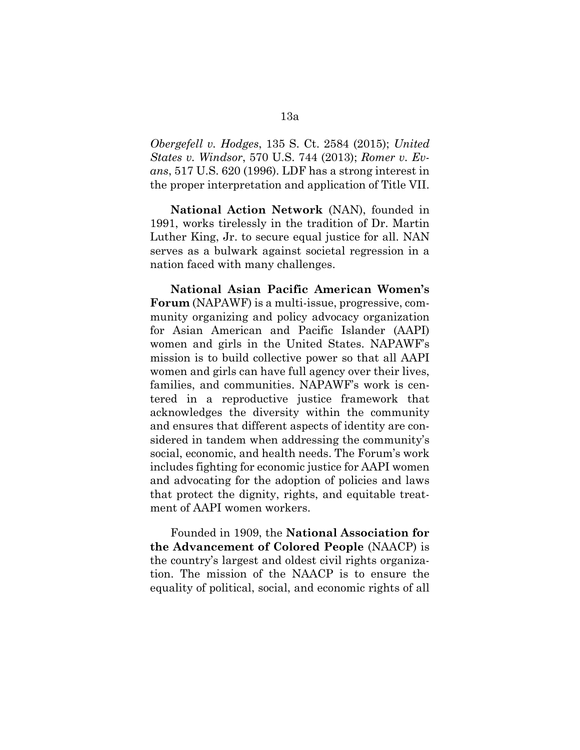*Obergefell v. Hodges*, 135 S. Ct. 2584 (2015); *United States v. Windsor*, 570 U.S. 744 (2013); *Romer v. Evans*, 517 U.S. 620 (1996). LDF has a strong interest in the proper interpretation and application of Title VII.

**National Action Network** (NAN), founded in 1991, works tirelessly in the tradition of Dr. Martin Luther King, Jr. to secure equal justice for all. NAN serves as a bulwark against societal regression in a nation faced with many challenges.

**National Asian Pacific American Women's Forum** (NAPAWF) is a multi-issue, progressive, community organizing and policy advocacy organization for Asian American and Pacific Islander (AAPI) women and girls in the United States. NAPAWF's mission is to build collective power so that all AAPI women and girls can have full agency over their lives, families, and communities. NAPAWF's work is centered in a reproductive justice framework that acknowledges the diversity within the community and ensures that different aspects of identity are considered in tandem when addressing the community's social, economic, and health needs. The Forum's work includes fighting for economic justice for AAPI women and advocating for the adoption of policies and laws that protect the dignity, rights, and equitable treatment of AAPI women workers.

Founded in 1909, the **National Association for the Advancement of Colored People** (NAACP) is the country's largest and oldest civil rights organization. The mission of the NAACP is to ensure the equality of political, social, and economic rights of all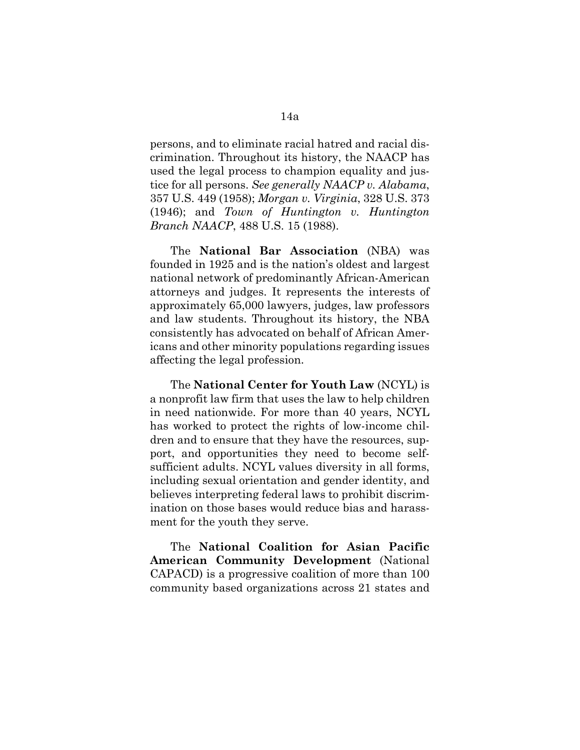persons, and to eliminate racial hatred and racial discrimination. Throughout its history, the NAACP has used the legal process to champion equality and justice for all persons. *See generally NAACP v. Alabama*, 357 U.S. 449 (1958); *Morgan v. Virginia*, 328 U.S. 373 (1946); and *Town of Huntington v. Huntington Branch NAACP*, 488 U.S. 15 (1988).

The **National Bar Association** (NBA) was founded in 1925 and is the nation's oldest and largest national network of predominantly African-American attorneys and judges. It represents the interests of approximately 65,000 lawyers, judges, law professors and law students. Throughout its history, the NBA consistently has advocated on behalf of African Americans and other minority populations regarding issues affecting the legal profession.

The **National Center for Youth Law** (NCYL) is a nonprofit law firm that uses the law to help children in need nationwide. For more than 40 years, NCYL has worked to protect the rights of low-income children and to ensure that they have the resources, support, and opportunities they need to become selfsufficient adults. NCYL values diversity in all forms, including sexual orientation and gender identity, and believes interpreting federal laws to prohibit discrimination on those bases would reduce bias and harassment for the youth they serve.

The **National Coalition for Asian Pacific American Community Development** (National CAPACD) is a progressive coalition of more than 100 community based organizations across 21 states and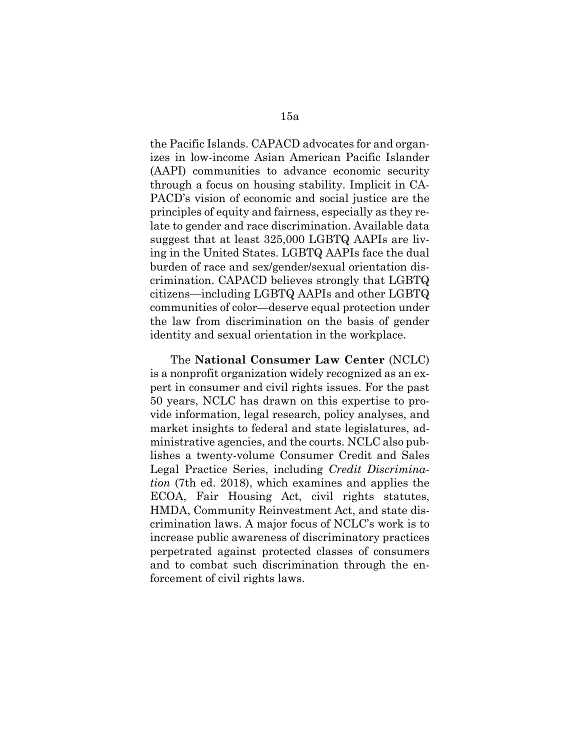the Pacific Islands. CAPACD advocates for and organizes in low-income Asian American Pacific Islander (AAPI) communities to advance economic security through a focus on housing stability. Implicit in CA-PACD's vision of economic and social justice are the principles of equity and fairness, especially as they relate to gender and race discrimination. Available data suggest that at least 325,000 LGBTQ AAPIs are living in the United States. LGBTQ AAPIs face the dual burden of race and sex/gender/sexual orientation discrimination. CAPACD believes strongly that LGBTQ citizens—including LGBTQ AAPIs and other LGBTQ communities of color—deserve equal protection under the law from discrimination on the basis of gender identity and sexual orientation in the workplace.

The **National Consumer Law Center** (NCLC) is a nonprofit organization widely recognized as an expert in consumer and civil rights issues. For the past 50 years, NCLC has drawn on this expertise to provide information, legal research, policy analyses, and market insights to federal and state legislatures, administrative agencies, and the courts. NCLC also publishes a twenty-volume Consumer Credit and Sales Legal Practice Series, including *Credit Discrimination* (7th ed. 2018), which examines and applies the ECOA, Fair Housing Act, civil rights statutes, HMDA, Community Reinvestment Act, and state discrimination laws. A major focus of NCLC's work is to increase public awareness of discriminatory practices perpetrated against protected classes of consumers and to combat such discrimination through the enforcement of civil rights laws.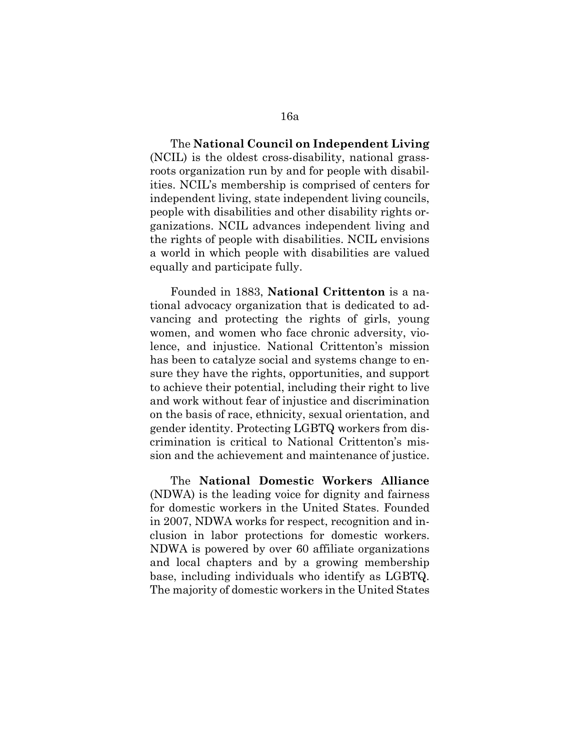The **National Council on Independent Living** (NCIL) is the oldest cross-disability, national grassroots organization run by and for people with disabilities. NCIL's membership is comprised of centers for independent living, state independent living councils, people with disabilities and other disability rights organizations. NCIL advances independent living and the rights of people with disabilities. NCIL envisions a world in which people with disabilities are valued equally and participate fully.

Founded in 1883, **National Crittenton** is a national advocacy organization that is dedicated to advancing and protecting the rights of girls, young women, and women who face chronic adversity, violence, and injustice. National Crittenton's mission has been to catalyze social and systems change to ensure they have the rights, opportunities, and support to achieve their potential, including their right to live and work without fear of injustice and discrimination on the basis of race, ethnicity, sexual orientation, and gender identity. Protecting LGBTQ workers from discrimination is critical to National Crittenton's mission and the achievement and maintenance of justice.

The **National Domestic Workers Alliance** (NDWA) is the leading voice for dignity and fairness for domestic workers in the United States. Founded in 2007, NDWA works for respect, recognition and inclusion in labor protections for domestic workers. NDWA is powered by over 60 affiliate organizations and local chapters and by a growing membership base, including individuals who identify as LGBTQ. The majority of domestic workers in the United States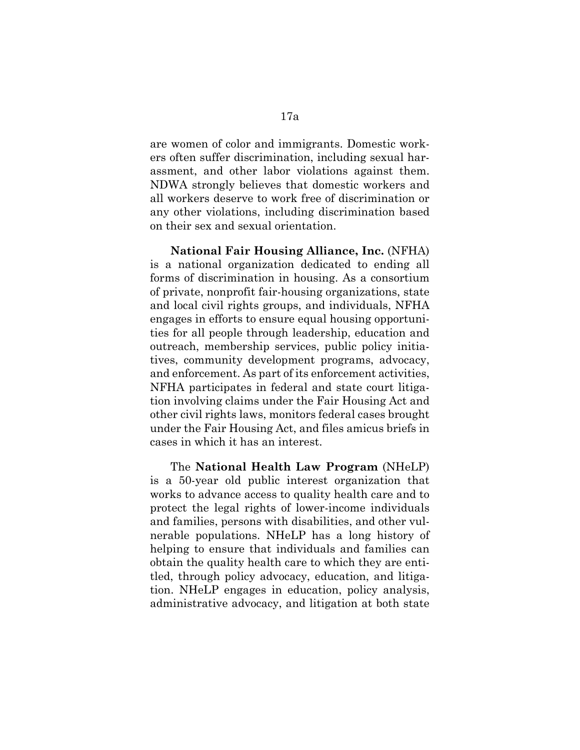are women of color and immigrants. Domestic workers often suffer discrimination, including sexual harassment, and other labor violations against them. NDWA strongly believes that domestic workers and all workers deserve to work free of discrimination or any other violations, including discrimination based on their sex and sexual orientation.

**National Fair Housing Alliance, Inc.** (NFHA) is a national organization dedicated to ending all forms of discrimination in housing. As a consortium of private, nonprofit fair-housing organizations, state and local civil rights groups, and individuals, NFHA engages in efforts to ensure equal housing opportunities for all people through leadership, education and outreach, membership services, public policy initiatives, community development programs, advocacy, and enforcement. As part of its enforcement activities, NFHA participates in federal and state court litigation involving claims under the Fair Housing Act and other civil rights laws, monitors federal cases brought under the Fair Housing Act, and files amicus briefs in cases in which it has an interest.

The **National Health Law Program** (NHeLP) is a 50-year old public interest organization that works to advance access to quality health care and to protect the legal rights of lower-income individuals and families, persons with disabilities, and other vulnerable populations. NHeLP has a long history of helping to ensure that individuals and families can obtain the quality health care to which they are entitled, through policy advocacy, education, and litigation. NHeLP engages in education, policy analysis, administrative advocacy, and litigation at both state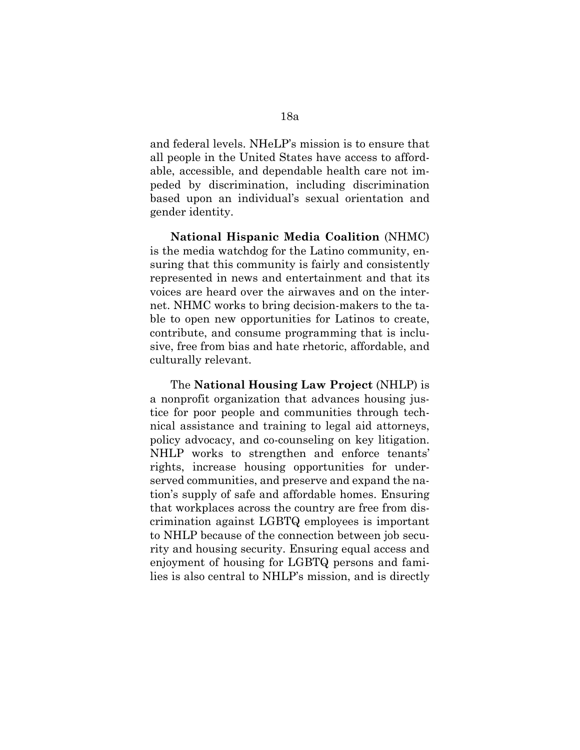and federal levels. NHeLP's mission is to ensure that all people in the United States have access to affordable, accessible, and dependable health care not impeded by discrimination, including discrimination based upon an individual's sexual orientation and gender identity.

**National Hispanic Media Coalition** (NHMC) is the media watchdog for the Latino community, ensuring that this community is fairly and consistently represented in news and entertainment and that its voices are heard over the airwaves and on the internet. NHMC works to bring decision-makers to the table to open new opportunities for Latinos to create, contribute, and consume programming that is inclusive, free from bias and hate rhetoric, affordable, and culturally relevant.

The **National Housing Law Project** (NHLP) is a nonprofit organization that advances housing justice for poor people and communities through technical assistance and training to legal aid attorneys, policy advocacy, and co-counseling on key litigation. NHLP works to strengthen and enforce tenants' rights, increase housing opportunities for underserved communities, and preserve and expand the nation's supply of safe and affordable homes. Ensuring that workplaces across the country are free from discrimination against LGBTQ employees is important to NHLP because of the connection between job security and housing security. Ensuring equal access and enjoyment of housing for LGBTQ persons and families is also central to NHLP's mission, and is directly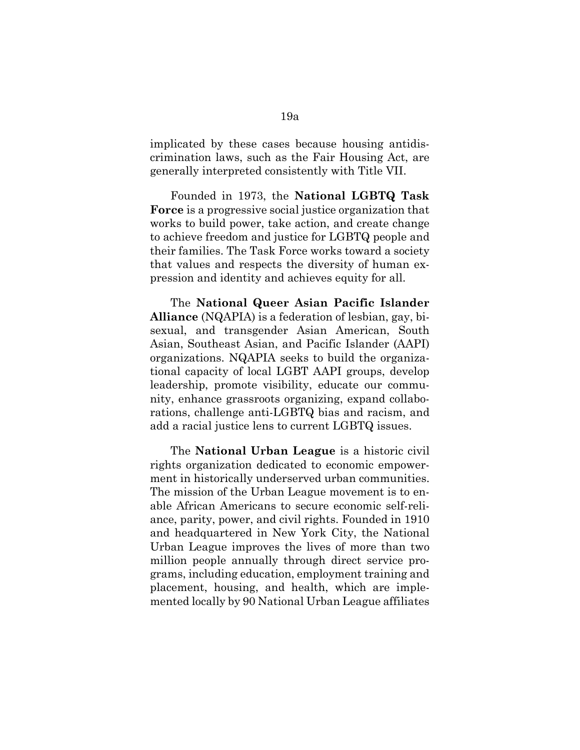implicated by these cases because housing antidiscrimination laws, such as the Fair Housing Act, are generally interpreted consistently with Title VII.

Founded in 1973, the **National LGBTQ Task Force** is a progressive social justice organization that works to build power, take action, and create change to achieve freedom and justice for LGBTQ people and their families. The Task Force works toward a society that values and respects the diversity of human expression and identity and achieves equity for all.

The **National Queer Asian Pacific Islander Alliance** (NQAPIA) is a federation of lesbian, gay, bisexual, and transgender Asian American, South Asian, Southeast Asian, and Pacific Islander (AAPI) organizations. NQAPIA seeks to build the organizational capacity of local LGBT AAPI groups, develop leadership, promote visibility, educate our community, enhance grassroots organizing, expand collaborations, challenge anti-LGBTQ bias and racism, and add a racial justice lens to current LGBTQ issues.

The **National Urban League** is a historic civil rights organization dedicated to economic empowerment in historically underserved urban communities. The mission of the Urban League movement is to enable African Americans to secure economic self-reliance, parity, power, and civil rights. Founded in 1910 and headquartered in New York City, the National Urban League improves the lives of more than two million people annually through direct service programs, including education, employment training and placement, housing, and health, which are implemented locally by 90 National Urban League affiliates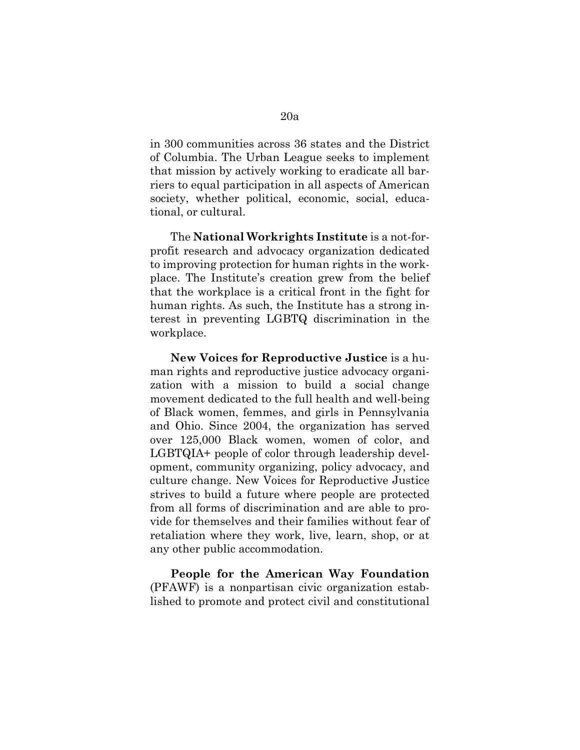in 300 communities across 36 states and the District of Columbia. The Urban League seeks to implement that mission by actively working to eradicate all barriers to equal participation in all aspects of American society, whether political, economic, social, educational, or cultural.

The **National Workrights Institute** is a not-forprofit research and advocacy organization dedicated to improving protection for human rights in the workplace. The Institute's creation grew from the belief that the workplace is a critical front in the fight for human rights. As such, the Institute has a strong interest in preventing LGBTQ discrimination in the workplace.

**New Voices for Reproductive Justice** is a human rights and reproductive justice advocacy organization with a mission to build a social change movement dedicated to the full health and well-being of Black women, femmes, and girls in Pennsylvania and Ohio. Since 2004, the organization has served over 125,000 Black women, women of color, and LGBTQIA+ people of color through leadership development, community organizing, policy advocacy, and culture change. New Voices for Reproductive Justice strives to build a future where people are protected from all forms of discrimination and are able to provide for themselves and their families without fear of retaliation where they work, live, learn, shop, or at any other public accommodation.

**People for the American Way Foundation** (PFAWF) is a nonpartisan civic organization established to promote and protect civil and constitutional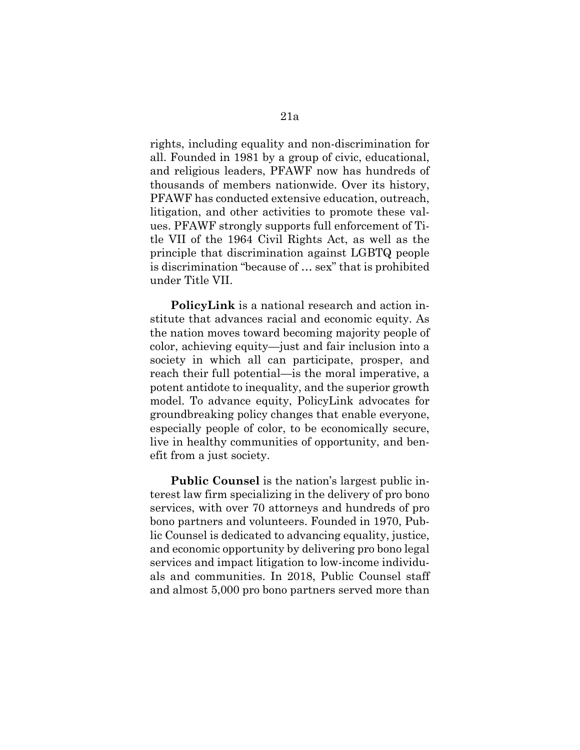rights, including equality and non-discrimination for all. Founded in 1981 by a group of civic, educational, and religious leaders, PFAWF now has hundreds of thousands of members nationwide. Over its history, PFAWF has conducted extensive education, outreach, litigation, and other activities to promote these values. PFAWF strongly supports full enforcement of Title VII of the 1964 Civil Rights Act, as well as the principle that discrimination against LGBTQ people is discrimination "because of … sex" that is prohibited under Title VII.

**PolicyLink** is a national research and action institute that advances racial and economic equity. As the nation moves toward becoming majority people of color, achieving equity—just and fair inclusion into a society in which all can participate, prosper, and reach their full potential—is the moral imperative, a potent antidote to inequality, and the superior growth model. To advance equity, PolicyLink advocates for groundbreaking policy changes that enable everyone, especially people of color, to be economically secure, live in healthy communities of opportunity, and benefit from a just society.

**Public Counsel** is the nation's largest public interest law firm specializing in the delivery of pro bono services, with over 70 attorneys and hundreds of pro bono partners and volunteers. Founded in 1970, Public Counsel is dedicated to advancing equality, justice, and economic opportunity by delivering pro bono legal services and impact litigation to low-income individuals and communities. In 2018, Public Counsel staff and almost 5,000 pro bono partners served more than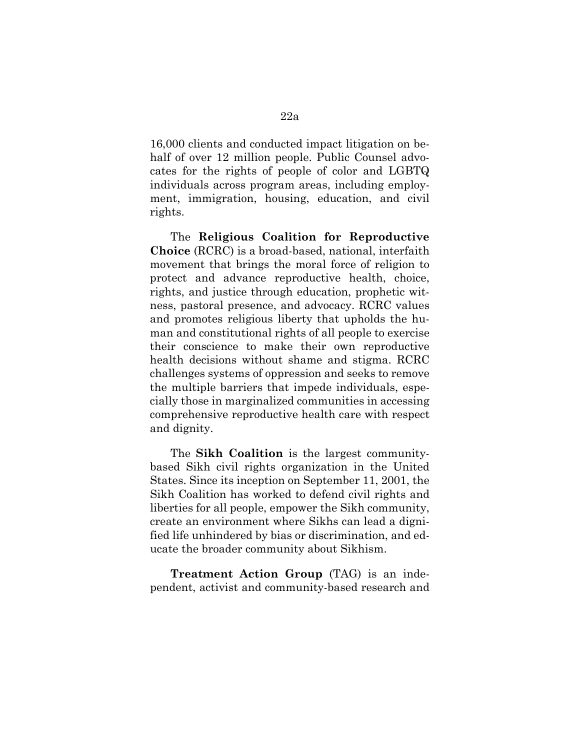16,000 clients and conducted impact litigation on behalf of over 12 million people. Public Counsel advocates for the rights of people of color and LGBTQ individuals across program areas, including employment, immigration, housing, education, and civil rights.

The **Religious Coalition for Reproductive Choice** (RCRC) is a broad-based, national, interfaith movement that brings the moral force of religion to protect and advance reproductive health, choice, rights, and justice through education, prophetic witness, pastoral presence, and advocacy. RCRC values and promotes religious liberty that upholds the human and constitutional rights of all people to exercise their conscience to make their own reproductive health decisions without shame and stigma. RCRC challenges systems of oppression and seeks to remove the multiple barriers that impede individuals, especially those in marginalized communities in accessing comprehensive reproductive health care with respect and dignity.

The **Sikh Coalition** is the largest communitybased Sikh civil rights organization in the United States. Since its inception on September 11, 2001, the Sikh Coalition has worked to defend civil rights and liberties for all people, empower the Sikh community, create an environment where Sikhs can lead a dignified life unhindered by bias or discrimination, and educate the broader community about Sikhism.

**Treatment Action Group** (TAG) is an independent, activist and community-based research and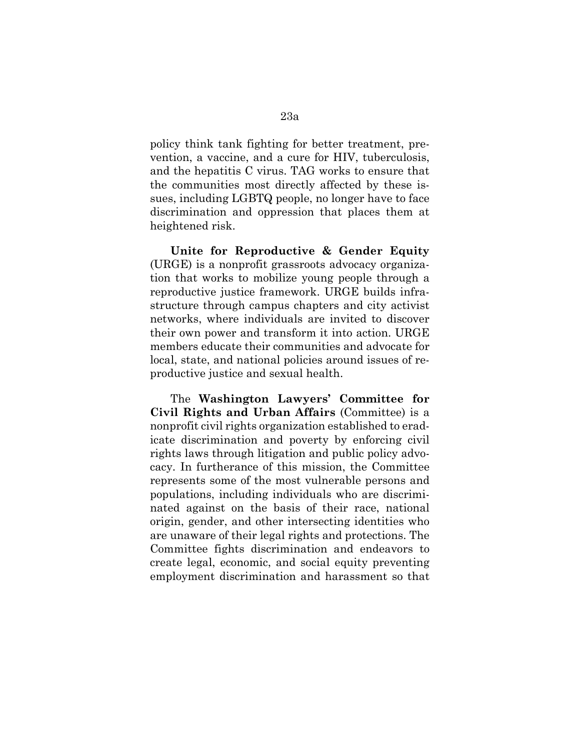policy think tank fighting for better treatment, prevention, a vaccine, and a cure for HIV, tuberculosis, and the hepatitis C virus. TAG works to ensure that the communities most directly affected by these issues, including LGBTQ people, no longer have to face discrimination and oppression that places them at heightened risk.

**Unite for Reproductive & Gender Equity** (URGE) is a nonprofit grassroots advocacy organization that works to mobilize young people through a reproductive justice framework. URGE builds infrastructure through campus chapters and city activist networks, where individuals are invited to discover their own power and transform it into action. URGE members educate their communities and advocate for local, state, and national policies around issues of reproductive justice and sexual health.

The **Washington Lawyers' Committee for Civil Rights and Urban Affairs** (Committee) is a nonprofit civil rights organization established to eradicate discrimination and poverty by enforcing civil rights laws through litigation and public policy advocacy. In furtherance of this mission, the Committee represents some of the most vulnerable persons and populations, including individuals who are discriminated against on the basis of their race, national origin, gender, and other intersecting identities who are unaware of their legal rights and protections. The Committee fights discrimination and endeavors to create legal, economic, and social equity preventing employment discrimination and harassment so that